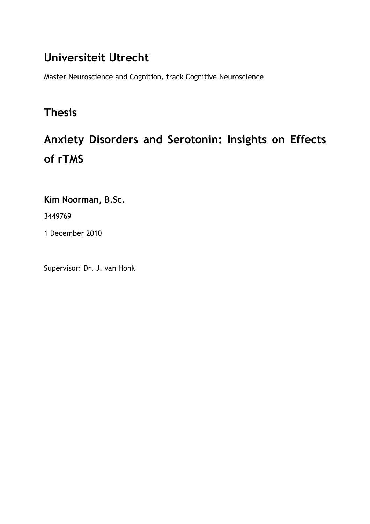# Universiteit Utrecht

Master Neuroscience and Cognition, track Cognitive Neuroscience

# Thesis

# Anxiety Disorders and Serotonin: Insights on Effects of rTMS

Kim Noorman, B.Sc.

3449769

1 December 2010

Supervisor: Dr. J. van Honk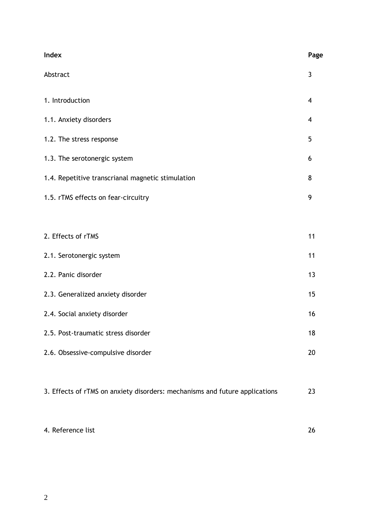| Index                                                                       | Page |  |  |  |
|-----------------------------------------------------------------------------|------|--|--|--|
| Abstract                                                                    | 3    |  |  |  |
| 1. Introduction                                                             | 4    |  |  |  |
| 1.1. Anxiety disorders                                                      | 4    |  |  |  |
| 1.2. The stress response                                                    | 5    |  |  |  |
| 1.3. The serotonergic system                                                | 6    |  |  |  |
| 1.4. Repetitive transcrianal magnetic stimulation                           | 8    |  |  |  |
| 1.5. rTMS effects on fear-circuitry                                         | 9    |  |  |  |
|                                                                             |      |  |  |  |
| 2. Effects of rTMS                                                          | 11   |  |  |  |
| 2.1. Serotonergic system                                                    | 11   |  |  |  |
| 2.2. Panic disorder                                                         | 13   |  |  |  |
| 2.3. Generalized anxiety disorder                                           |      |  |  |  |
| 2.4. Social anxiety disorder                                                | 16   |  |  |  |
| 2.5. Post-traumatic stress disorder                                         | 18   |  |  |  |
| 2.6. Obsessive-compulsive disorder                                          | 20   |  |  |  |
|                                                                             |      |  |  |  |
| 3. Effects of rTMS on anxiety disorders: mechanisms and future applications | 23   |  |  |  |

4. Reference list 26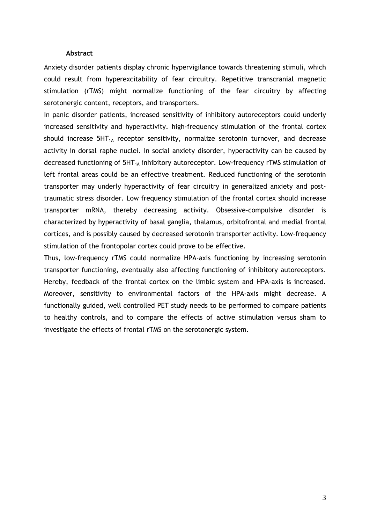#### Abstract

Anxiety disorder patients display chronic hypervigilance towards threatening stimuli, which could result from hyperexcitability of fear circuitry. Repetitive transcranial magnetic stimulation (rTMS) might normalize functioning of the fear circuitry by affecting serotonergic content, receptors, and transporters.

In panic disorder patients, increased sensitivity of inhibitory autoreceptors could underly increased sensitivity and hyperactivity. high-frequency stimulation of the frontal cortex should increase  $5HT_{1A}$  receptor sensitivity, normalize serotonin turnover, and decrease activity in dorsal raphe nuclei. In social anxiety disorder, hyperactivity can be caused by decreased functioning of  $5HT_{1A}$  inhibitory autoreceptor. Low-frequency rTMS stimulation of left frontal areas could be an effective treatment. Reduced functioning of the serotonin transporter may underly hyperactivity of fear circuitry in generalized anxiety and posttraumatic stress disorder. Low frequency stimulation of the frontal cortex should increase transporter mRNA, thereby decreasing activity. Obsessive-compulsive disorder is characterized by hyperactivity of basal ganglia, thalamus, orbitofrontal and medial frontal cortices, and is possibly caused by decreased serotonin transporter activity. Low-frequency stimulation of the frontopolar cortex could prove to be effective.

Thus, low-frequency rTMS could normalize HPA-axis functioning by increasing serotonin transporter functioning, eventually also affecting functioning of inhibitory autoreceptors. Hereby, feedback of the frontal cortex on the limbic system and HPA-axis is increased. Moreover, sensitivity to environmental factors of the HPA-axis might decrease. A functionally guided, well controlled PET study needs to be performed to compare patients to healthy controls, and to compare the effects of active stimulation versus sham to investigate the effects of frontal rTMS on the serotonergic system.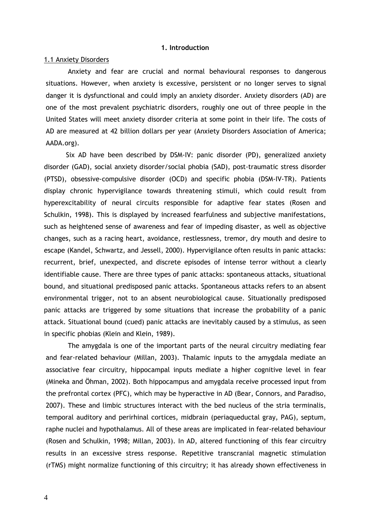#### 1. Introduction

#### 1.1 Anxiety Disorders

Anxiety and fear are crucial and normal behavioural responses to dangerous situations. However, when anxiety is excessive, persistent or no longer serves to signal danger it is dysfunctional and could imply an anxiety disorder. Anxiety disorders (AD) are one of the most prevalent psychiatric disorders, roughly one out of three people in the United States will meet anxiety disorder criteria at some point in their life. The costs of AD are measured at 42 billion dollars per year (Anxiety Disorders Association of America; AADA.org).

Six AD have been described by DSM-IV: panic disorder (PD), generalized anxiety disorder (GAD), social anxiety disorder/social phobia (SAD), post-traumatic stress disorder (PTSD), obsessive-compulsive disorder (OCD) and specific phobia (DSM-IV-TR). Patients display chronic hypervigilance towards threatening stimuli, which could result from hyperexcitability of neural circuits responsible for adaptive fear states (Rosen and Schulkin, 1998). This is displayed by increased fearfulness and subjective manifestations, such as heightened sense of awareness and fear of impeding disaster, as well as objective changes, such as a racing heart, avoidance, restlessness, tremor, dry mouth and desire to escape (Kandel, Schwartz, and Jessell, 2000). Hypervigilance often results in panic attacks: recurrent, brief, unexpected, and discrete episodes of intense terror without a clearly identifiable cause. There are three types of panic attacks: spontaneous attacks, situational bound, and situational predisposed panic attacks. Spontaneous attacks refers to an absent environmental trigger, not to an absent neurobiological cause. Situationally predisposed panic attacks are triggered by some situations that increase the probability of a panic attack. Situational bound (cued) panic attacks are inevitably caused by a stimulus, as seen in specific phobias (Klein and Klein, 1989).

The amygdala is one of the important parts of the neural circuitry mediating fear and fear-related behaviour (Millan, 2003). Thalamic inputs to the amygdala mediate an associative fear circuitry, hippocampal inputs mediate a higher cognitive level in fear (Mineka and Öhman, 2002). Both hippocampus and amygdala receive processed input from the prefrontal cortex (PFC), which may be hyperactive in AD (Bear, Connors, and Paradiso, 2007). These and limbic structures interact with the bed nucleus of the stria terminalis, temporal auditory and perirhinal cortices, midbrain (periaqueductal gray, PAG), septum, raphe nuclei and hypothalamus. All of these areas are implicated in fear-related behaviour (Rosen and Schulkin, 1998; Millan, 2003). In AD, altered functioning of this fear circuitry results in an excessive stress response. Repetitive transcranial magnetic stimulation (rTMS) might normalize functioning of this circuitry; it has already shown effectiveness in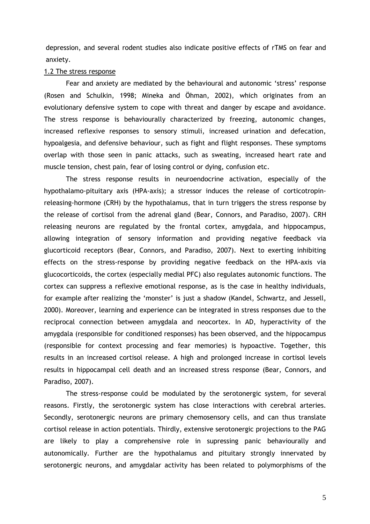depression, and several rodent studies also indicate positive effects of rTMS on fear and anxiety.

#### 1.2 The stress response

Fear and anxiety are mediated by the behavioural and autonomic 'stress' response (Rosen and Schulkin, 1998; Mineka and Öhman, 2002), which originates from an evolutionary defensive system to cope with threat and danger by escape and avoidance. The stress response is behaviourally characterized by freezing, autonomic changes, increased reflexive responses to sensory stimuli, increased urination and defecation, hypoalgesia, and defensive behaviour, such as fight and flight responses. These symptoms overlap with those seen in panic attacks, such as sweating, increased heart rate and muscle tension, chest pain, fear of losing control or dying, confusion etc.

The stress response results in neuroendocrine activation, especially of the hypothalamo-pituitary axis (HPA-axis); a stressor induces the release of corticotropinreleasing-hormone (CRH) by the hypothalamus, that in turn triggers the stress response by the release of cortisol from the adrenal gland (Bear, Connors, and Paradiso, 2007). CRH releasing neurons are regulated by the frontal cortex, amygdala, and hippocampus, allowing integration of sensory information and providing negative feedback via glucorticoid receptors (Bear, Connors, and Paradiso, 2007). Next to exerting inhibiting effects on the stress-response by providing negative feedback on the HPA-axis via glucocorticoids, the cortex (especially medial PFC) also regulates autonomic functions. The cortex can suppress a reflexive emotional response, as is the case in healthy individuals, for example after realizing the 'monster' is just a shadow (Kandel, Schwartz, and Jessell, 2000). Moreover, learning and experience can be integrated in stress responses due to the reciprocal connection between amygdala and neocortex. In AD, hyperactivity of the amygdala (responsible for conditioned responses) has been observed, and the hippocampus (responsible for context processing and fear memories) is hypoactive. Together, this results in an increased cortisol release. A high and prolonged increase in cortisol levels results in hippocampal cell death and an increased stress response (Bear, Connors, and Paradiso, 2007).

The stress-response could be modulated by the serotonergic system, for several reasons. Firstly, the serotonergic system has close interactions with cerebral arteries. Secondly, serotonergic neurons are primary chemosensory cells, and can thus translate cortisol release in action potentials. Thirdly, extensive serotonergic projections to the PAG are likely to play a comprehensive role in supressing panic behaviourally and autonomically. Further are the hypothalamus and pituitary strongly innervated by serotonergic neurons, and amygdalar activity has been related to polymorphisms of the

5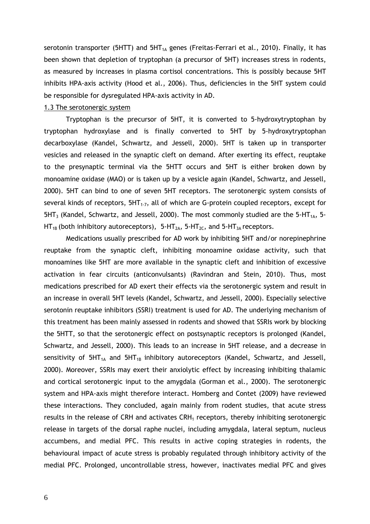serotonin transporter (5HTT) and  $5HT_{1A}$  genes (Freitas-Ferrari et al., 2010). Finally, it has been shown that depletion of tryptophan (a precursor of 5HT) increases stress in rodents, as measured by increases in plasma cortisol concentrations. This is possibly because 5HT inhibits HPA-axis activity (Hood et al., 2006). Thus, deficiencies in the 5HT system could be responsible for dysregulated HPA-axis activity in AD.

# 1.3 The serotonergic system

Tryptophan is the precursor of 5HT, it is converted to 5-hydroxytryptophan by tryptophan hydroxylase and is finally converted to 5HT by 5-hydroxytryptophan decarboxylase (Kandel, Schwartz, and Jessell, 2000). 5HT is taken up in transporter vesicles and released in the synaptic cleft on demand. After exerting its effect, reuptake to the presynaptic terminal via the 5HTT occurs and 5HT is either broken down by monoamine oxidase (MAO) or is taken up by a vesicle again (Kandel, Schwartz, and Jessell, 2000). 5HT can bind to one of seven 5HT receptors. The serotonergic system consists of several kinds of receptors,  $5HT_{1-7}$ , all of which are G-protein coupled receptors, except for  $5HT_3$  (Kandel, Schwartz, and Jessell, 2000). The most commonly studied are the 5-HT<sub>1A</sub>, 5-HT<sub>1B</sub> (both inhibitory autoreceptors), 5-HT<sub>2A</sub>, 5-HT<sub>2C</sub>, and 5-HT<sub>3A</sub> receptors.

Medications usually prescribed for AD work by inhibiting 5HT and/or norepinephrine reuptake from the synaptic cleft, inhibiting monoamine oxidase activity, such that monoamines like 5HT are more available in the synaptic cleft and inhibition of excessive activation in fear circuits (anticonvulsants) (Ravindran and Stein, 2010). Thus, most medications prescribed for AD exert their effects via the serotonergic system and result in an increase in overall 5HT levels (Kandel, Schwartz, and Jessell, 2000). Especially selective serotonin reuptake inhibitors (SSRI) treatment is used for AD. The underlying mechanism of this treatment has been mainly assessed in rodents and showed that SSRIs work by blocking the 5HTT, so that the serotonergic effect on postsynaptic receptors is prolonged (Kandel, Schwartz, and Jessell, 2000). This leads to an increase in 5HT release, and a decrease in sensitivity of  $5HT_{1A}$  and  $5HT_{1B}$  inhibitory autoreceptors (Kandel, Schwartz, and Jessell, 2000). Moreover, SSRIs may exert their anxiolytic effect by increasing inhibiting thalamic and cortical serotonergic input to the amygdala (Gorman et al., 2000). The serotonergic system and HPA-axis might therefore interact. Homberg and Contet (2009) have reviewed these interactions. They concluded, again mainly from rodent studies, that acute stress results in the release of CRH and activates  $CRH<sub>1</sub>$  receptors, thereby inhibiting serotonergic release in targets of the dorsal raphe nuclei, including amygdala, lateral septum, nucleus accumbens, and medial PFC. This results in active coping strategies in rodents, the behavioural impact of acute stress is probably regulated through inhibitory activity of the medial PFC. Prolonged, uncontrollable stress, however, inactivates medial PFC and gives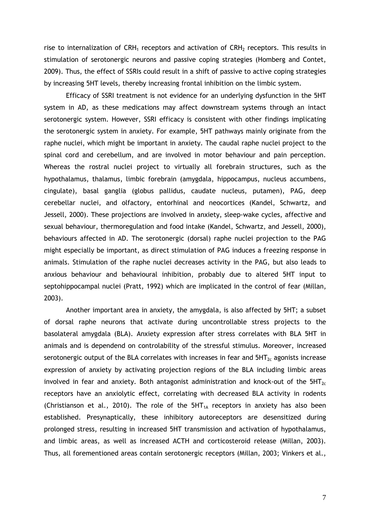rise to internalization of CRH<sub>1</sub> receptors and activation of CRH<sub>2</sub> receptors. This results in stimulation of serotonergic neurons and passive coping strategies (Homberg and Contet, 2009). Thus, the effect of SSRIs could result in a shift of passive to active coping strategies by increasing 5HT levels, thereby increasing frontal inhibition on the limbic system.

Efficacy of SSRI treatment is not evidence for an underlying dysfunction in the 5HT system in AD, as these medications may affect downstream systems through an intact serotonergic system. However, SSRI efficacy is consistent with other findings implicating the serotonergic system in anxiety. For example, 5HT pathways mainly originate from the raphe nuclei, which might be important in anxiety. The caudal raphe nuclei project to the spinal cord and cerebellum, and are involved in motor behaviour and pain perception. Whereas the rostral nuclei project to virtually all forebrain structures, such as the hypothalamus, thalamus, limbic forebrain (amygdala, hippocampus, nucleus accumbens, cingulate), basal ganglia (globus pallidus, caudate nucleus, putamen), PAG, deep cerebellar nuclei, and olfactory, entorhinal and neocortices (Kandel, Schwartz, and Jessell, 2000). These projections are involved in anxiety, sleep-wake cycles, affective and sexual behaviour, thermoregulation and food intake (Kandel, Schwartz, and Jessell, 2000), behaviours affected in AD. The serotonergic (dorsal) raphe nuclei projection to the PAG might especially be important, as direct stimulation of PAG induces a freezing response in animals. Stimulation of the raphe nuclei decreases activity in the PAG, but also leads to anxious behaviour and behavioural inhibition, probably due to altered 5HT input to septohippocampal nuclei (Pratt, 1992) which are implicated in the control of fear (Millan, 2003).

Another important area in anxiety, the amygdala, is also affected by 5HT; a subset of dorsal raphe neurons that activate during uncontrollable stress projects to the basolateral amygdala (BLA). Anxiety expression after stress correlates with BLA 5HT in animals and is dependend on controlability of the stressful stimulus. Moreover, increased serotonergic output of the BLA correlates with increases in fear and  $5HT_{2c}$  agonists increase expression of anxiety by activating projection regions of the BLA including limbic areas involved in fear and anxiety. Both antagonist administration and knock-out of the  $5HT_{2c}$ receptors have an anxiolytic effect, correlating with decreased BLA activity in rodents (Christianson et al., 2010). The role of the  $5HT_{1A}$  receptors in anxiety has also been established. Presynaptically, these inhibitory autoreceptors are desensitized during prolonged stress, resulting in increased 5HT transmission and activation of hypothalamus, and limbic areas, as well as increased ACTH and corticosteroid release (Millan, 2003). Thus, all forementioned areas contain serotonergic receptors (Millan, 2003; Vinkers et al.,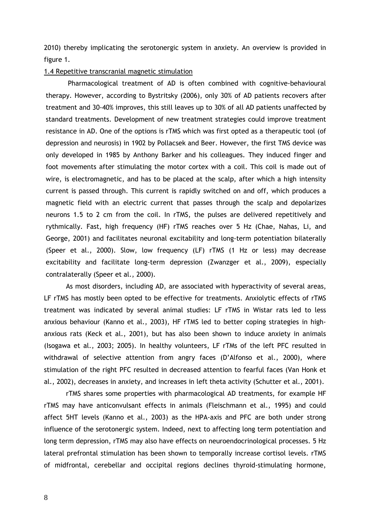2010) thereby implicating the serotonergic system in anxiety. An overview is provided in figure 1.

#### 1.4 Repetitive transcranial magnetic stimulation

Pharmacological treatment of AD is often combined with cognitive-behavioural therapy. However, according to Bystritsky (2006), only 30% of AD patients recovers after treatment and 30-40% improves, this still leaves up to 30% of all AD patients unaffected by standard treatments. Development of new treatment strategies could improve treatment resistance in AD. One of the options is rTMS which was first opted as a therapeutic tool (of depression and neurosis) in 1902 by Pollacsek and Beer. However, the first TMS device was only developed in 1985 by Anthony Barker and his colleagues. They induced finger and foot movements after stimulating the motor cortex with a coil. This coil is made out of wire, is electromagnetic, and has to be placed at the scalp, after which a high intensity current is passed through. This current is rapidly switched on and off, which produces a magnetic field with an electric current that passes through the scalp and depolarizes neurons 1.5 to 2 cm from the coil. In rTMS, the pulses are delivered repetitively and rythmically. Fast, high frequency (HF) rTMS reaches over 5 Hz (Chae, Nahas, Li, and George, 2001) and facilitates neuronal excitability and long-term potentiation bilaterally (Speer et al., 2000). Slow, low frequency (LF) rTMS (1 Hz or less) may decrease excitability and facilitate long-term depression (Zwanzger et al., 2009), especially contralaterally (Speer et al., 2000).

As most disorders, including AD, are associated with hyperactivity of several areas, LF rTMS has mostly been opted to be effective for treatments. Anxiolytic effects of rTMS treatment was indicated by several animal studies: LF rTMS in Wistar rats led to less anxious behaviour (Kanno et al., 2003), HF rTMS led to better coping strategies in highanxious rats (Keck et al., 2001), but has also been shown to induce anxiety in animals (Isogawa et al., 2003; 2005). In healthy volunteers, LF rTMs of the left PFC resulted in withdrawal of selective attention from angry faces (D'Alfonso et al., 2000), where stimulation of the right PFC resulted in decreased attention to fearful faces (Van Honk et al., 2002), decreases in anxiety, and increases in left theta activity (Schutter et al., 2001).

rTMS shares some properties with pharmacological AD treatments, for example HF rTMS may have anticonvulsant effects in animals (Fleischmann et al., 1995) and could affect 5HT levels (Kanno et al., 2003) as the HPA-axis and PFC are both under strong influence of the serotonergic system. Indeed, next to affecting long term potentiation and long term depression, rTMS may also have effects on neuroendocrinological processes. 5 Hz lateral prefrontal stimulation has been shown to temporally increase cortisol levels. rTMS of midfrontal, cerebellar and occipital regions declines thyroid-stimulating hormone,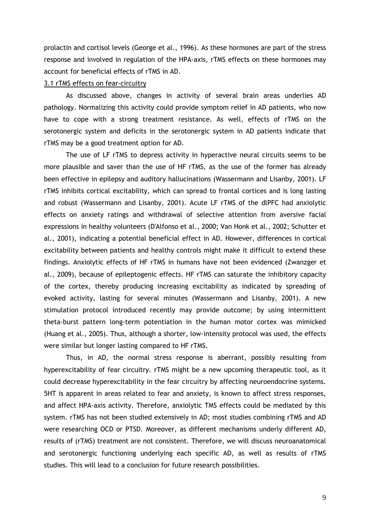prolactin and cortisol levels (George et al., 1996). As these hormones are part of the stress response and involved in regulation of the HPA-axis, rTMS effects on these hormones may account for beneficial effects of rTMS in AD.

#### 3.1 rTMS effects on fear-circuitry

As discussed above, changes in activity of several brain areas underlies AD pathology. Normalizing this activity could provide symptom relief in AD patients, who now have to cope with a strong treatment resistance. As well, effects of rTMS on the serotonergic system and deficits in the serotonergic system in AD patients indicate that rTMS may be a good treatment option for AD.

The use of LF rTMS to depress activity in hyperactive neural circuits seems to be more plausible and saver than the use of HF rTMS, as the use of the former has already been effective in epilepsy and auditory hallucinations (Wassermann and Lisanby, 2001). LF rTMS inhibits cortical excitability, which can spread to frontal cortices and is long lasting and robust (Wassermann and Lisanby, 2001). Acute LF rTMS of the dlPFC had anxiolytic effects on anxiety ratings and withdrawal of selective attention from aversive facial expressions in healthy volunteers (D'Alfonso et al., 2000; Van Honk et al., 2002; Schutter et al., 2001), indicating a potential beneficial effect in AD. However, differences in cortical excitability between patients and healthy controls might make it difficult to extend these findings. Anxiolytic effects of HF rTMS in humans have not been evidenced (Zwanzger et al., 2009), because of epileptogenic effects. HF rTMS can saturate the inhibitory capacity of the cortex, thereby producing increasing excitability as indicated by spreading of evoked activity, lasting for several minutes (Wassermann and Lisanby, 2001). A new stimulation protocol introduced recently may provide outcome; by using intermittent theta-burst pattern long-term potentiation in the human motor cortex was mimicked (Huang et al., 2005). Thus, although a shorter, low-intensity protocol was used, the effects were similar but longer lasting compared to HF rTMS.

Thus, in AD, the normal stress response is aberrant, possibly resulting from hyperexcitability of fear circuitry. rTMS might be a new upcoming therapeutic tool, as it could decrease hyperexcitability in the fear circuitry by affecting neuroendocrine systems. 5HT is apparent in areas related to fear and anxiety, is known to affect stress responses, and affect HPA-axis activity. Therefore, anxiolytic TMS effects could be mediated by this system. rTMS has not been studied extensively in AD; most studies combining rTMS and AD were researching OCD or PTSD. Moreover, as different mechanisms underly different AD, results of (rTMS) treatment are not consistent. Therefore, we will discuss neuroanatomical and serotonergic functioning underlying each specific AD, as well as results of rTMS studies. This will lead to a conclusion for future research possibilities.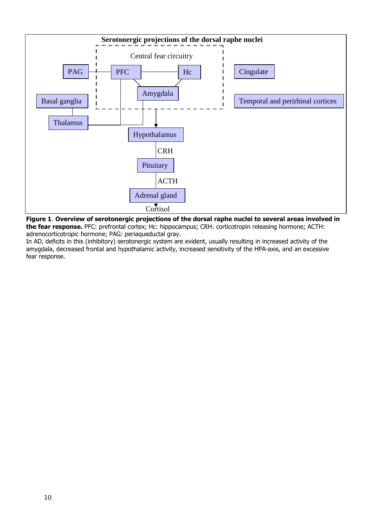

Figure 1. Overview of serotonergic projections of the dorsal raphe nuclei to several areas involved in the fear response. PFC: prefrontal cortex; Hc: hippocampus; CRH: corticotropin releasing hormone; ACTH: adrenocorticotropic hormone; PAG: periaqueductal gray.

In AD, deficits in this (inhibitory) serotonergic system are evident, usually resulting in increased activity of the amygdala, decreased frontal and hypothalamic activity, increased sensitivity of the HPA-axis, and an excessive fear response.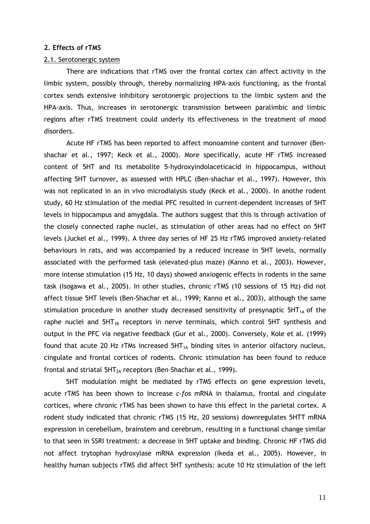#### 2. Effects of rTMS

## 2.1. Serotonergic system

There are indications that rTMS over the frontal cortex can affect activity in the limbic system, possibly through, thereby normalizing HPA-axis functioning, as the frontal cortex sends extensive inhibitory serotonergic projections to the limbic system and the HPA-axis. Thus, increases in serotonergic transmission between paralimbic and limbic regions after rTMS treatment could underly its effectiveness in the treatment of mood disorders.

Acute HF rTMS has been reported to affect monoamine content and turnover (Benshachar et al., 1997; Keck et al., 2000). More specifically, acute HF rTMS increased content of 5HT and its metabolite 5-hydroxyindolaceticacid in hippocampus, without affecting 5HT turnover, as assessed with HPLC (Ben-shachar et al., 1997). However, this was not replicated in an in vivo microdialysis study (Keck et al., 2000). In anothe rodent study, 60 Hz stimulation of the medial PFC resulted in current-dependent increases of 5HT levels in hippocampus and amygdala. The authors suggest that this is through activation of the closely connected raphe nuclei, as stimulation of other areas had no effect on 5HT levels (Juckel et al., 1999). A three day series of HF 25 Hz rTMS improved anxiety-related behaviours in rats, and was accompanied by a reduced increase in 5HT levels, normally associated with the performed task (elevated-plus maze) (Kanno et al., 2003). However, more intense stimulation (15 Hz, 10 days) showed anxiogenic effects in rodents in the same task (Isogawa et al., 2005). In other studies, chronic rTMS (10 sessions of 15 Hz) did not affect tissue 5HT levels (Ben-Shachar et al., 1999; Kanno et al., 2003), although the same stimulation procedure in another study decreased sensitivity of presynaptic  $5HT_{1A}$  of the raphe nuclei and  $5HT_{1B}$  receptors in nerve terminals, which control  $5HT$  synthesis and output in the PFC via negative feedback (Gur et al., 2000). Conversely, Kole et al. (1999) found that acute 20 Hz rTMs increased  $5HT_{1A}$  binding sites in anterior olfactory nucleus, cingulate and frontal cortices of rodents. Chronic stimulation has been found to reduce frontal and striatal  $5HT_{2A}$  receptors (Ben-Shachar et al., 1999).

5HT modulation might be mediated by rTMS effects on gene expression levels, acute rTMS has been shown to increase c-fos mRNA in thalamus, frontal and cingulate cortices, where chronic rTMS has been shown to have this effect in the parietal cortex. A rodent study indicated that chronic rTMS (15 Hz, 20 sessions) downregulates 5HTT mRNA expression in cerebellum, brainstem and cerebrum, resulting in a functional change similar to that seen in SSRI treatment: a decrease in 5HT uptake and binding. Chronic HF rTMS did not affect trytophan hydroxylase mRNA expression (Ikeda et al., 2005). However, in healthy human subjects rTMS did affect 5HT synthesis: acute 10 Hz stimulation of the left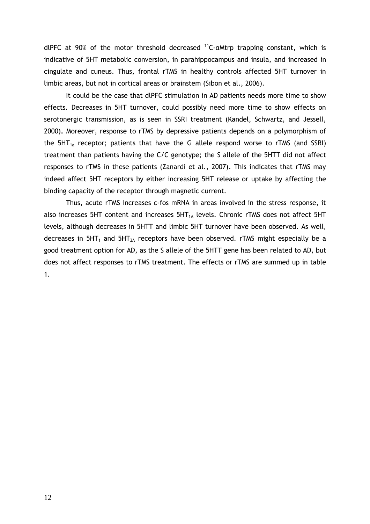dlPFC at 90% of the motor threshold decreased  $^{11}$ C-αMtrp trapping constant, which is indicative of 5HT metabolic conversion, in parahippocampus and insula, and increased in cingulate and cuneus. Thus, frontal rTMS in healthy controls affected 5HT turnover in limbic areas, but not in cortical areas or brainstem (Sibon et al., 2006).

It could be the case that dlPFC stimulation in AD patients needs more time to show effects. Decreases in 5HT turnover, could possibly need more time to show effects on serotonergic transmission, as is seen in SSRI treatment (Kandel, Schwartz, and Jessell, 2000). Moreover, response to rTMS by depressive patients depends on a polymorphism of the  $5HT_{1a}$  receptor; patients that have the G allele respond worse to rTMS (and SSRI) treatment than patients having the C/C genotype; the S allele of the 5HTT did not affect responses to rTMS in these patients (Zanardi et al., 2007). This indicates that rTMS may indeed affect 5HT receptors by either increasing 5HT release or uptake by affecting the binding capacity of the receptor through magnetic current.

Thus, acute rTMS increases c-fos mRNA in areas involved in the stress response, it also increases 5HT content and increases  $5HT_{1A}$  levels. Chronic rTMS does not affect 5HT levels, although decreases in 5HTT and limbic 5HT turnover have been observed. As well, decreases in  $5HT_1$  and  $5HT_{2A}$  receptors have been observed. rTMS might especially be a good treatment option for AD, as the S allele of the 5HTT gene has been related to AD, but does not affect responses to rTMS treatment. The effects or rTMS are summed up in table 1.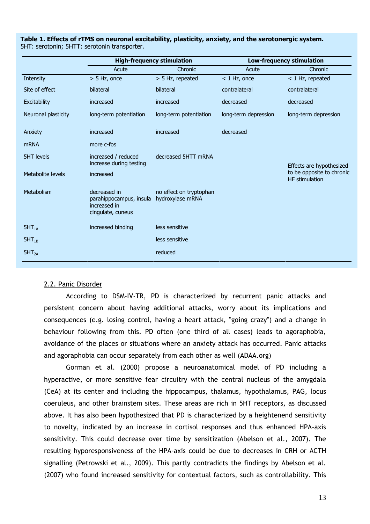|                     | <b>High-frequency stimulation</b>                                            |                                             | <b>Low-frequency stimulation</b> |                                                    |
|---------------------|------------------------------------------------------------------------------|---------------------------------------------|----------------------------------|----------------------------------------------------|
|                     | Acute                                                                        | Chronic                                     | Acute                            | Chronic                                            |
| Intensity           | $> 5$ Hz, once                                                               | > 5 Hz, repeated                            | $<$ 1 Hz, once                   | < 1 Hz, repeated                                   |
| Site of effect      | bilateral                                                                    | bilateral                                   | contralateral                    | contralateral                                      |
| Excitability        | increased                                                                    | increased                                   | decreased                        | decreased                                          |
| Neuronal plasticity | long-term potentiation                                                       | long-term potentiation                      | long-term depression             | long-term depression                               |
| Anxiety             | increased                                                                    | increased                                   | decreased                        |                                                    |
| <b>mRNA</b>         | more c-fos                                                                   |                                             |                                  |                                                    |
| <b>5HT levels</b>   | increased / reduced<br>increase during testing                               | decreased 5HTT mRNA                         |                                  | Effects are hypothesized                           |
| Metabolite levels   | increased                                                                    |                                             |                                  | to be opposite to chronic<br><b>HF</b> stimulation |
| Metabolism          | decreased in<br>parahippocampus, insula<br>increased in<br>cingulate, cuneus | no effect on tryptophan<br>hydroxylase mRNA |                                  |                                                    |
| $5HT_{1A}$          | increased binding                                                            | less sensitive                              |                                  |                                                    |
| $5HT_{1B}$          |                                                                              | less sensitive                              |                                  |                                                    |
| 5HT <sub>2A</sub>   |                                                                              | reduced                                     |                                  |                                                    |

Table 1. Effects of rTMS on neuronal excitability, plasticity, anxiety, and the serotonergic system. 5HT: serotonin; 5HTT: serotonin transporter.

# 2.2. Panic Disorder

According to DSM-IV-TR, PD is characterized by recurrent panic attacks and persistent concern about having additional attacks, worry about its implications and consequences (e.g. losing control, having a heart attack, "going crazy") and a change in behaviour following from this. PD often (one third of all cases) leads to agoraphobia, avoidance of the places or situations where an anxiety attack has occurred. Panic attacks and agoraphobia can occur separately from each other as well (ADAA.org)

Gorman et al. (2000) propose a neuroanatomical model of PD including a hyperactive, or more sensitive fear circuitry with the central nucleus of the amygdala (CeA) at its center and including the hippocampus, thalamus, hypothalamus, PAG, locus coeruleus, and other brainstem sites. These areas are rich in 5HT receptors, as discussed above. It has also been hypothesized that PD is characterized by a heightenend sensitivity to novelty, indicated by an increase in cortisol responses and thus enhanced HPA-axis sensitivity. This could decrease over time by sensitization (Abelson et al., 2007). The resulting hyporesponsiveness of the HPA-axis could be due to decreases in CRH or ACTH signalling (Petrowski et al., 2009). This partly contradicts the findings by Abelson et al. (2007) who found increased sensitivity for contextual factors, such as controllability. This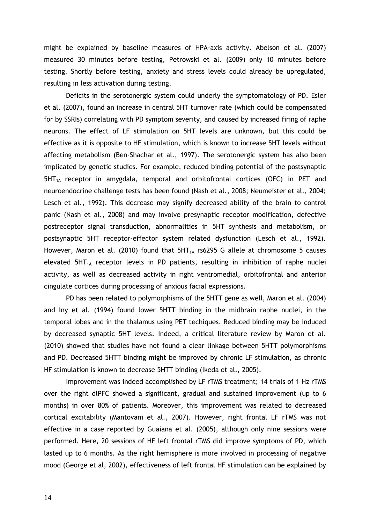might be explained by baseline measures of HPA-axis activity. Abelson et al. (2007) measured 30 minutes before testing, Petrowski et al. (2009) only 10 minutes before testing. Shortly before testing, anxiety and stress levels could already be upregulated, resulting in less activation during testing.

Deficits in the serotonergic system could underly the symptomatology of PD. Esler et al. (2007), found an increase in central 5HT turnover rate (which could be compensated for by SSRIs) correlating with PD symptom severity, and caused by increased firing of raphe neurons. The effect of LF stimulation on 5HT levels are unknown, but this could be effective as it is opposite to HF stimulation, which is known to increase 5HT levels without affecting metabolism (Ben-Shachar et al., 1997). The serotonergic system has also been implicated by genetic studies. For example, reduced binding potential of the postsynaptic  $5HT_{1A}$  receptor in amygdala, temporal and orbitofrontal cortices (OFC) in PET and neuroendocrine challenge tests has been found (Nash et al., 2008; Neumeister et al., 2004; Lesch et al., 1992). This decrease may signify decreased ability of the brain to control panic (Nash et al., 2008) and may involve presynaptic receptor modification, defective postreceptor signal transduction, abnormalities in 5HT synthesis and metabolism, or postsynaptic 5HT receptor-effector system related dysfunction (Lesch et al., 1992). However, Maron et al. (2010) found that  $5HT_{1A}$  rs6295 G allele at chromosome 5 causes elevated  $5HT_{1A}$  receptor levels in PD patients, resulting in inhibition of raphe nuclei activity, as well as decreased activity in right ventromedial, orbitofrontal and anterior cingulate cortices during processing of anxious facial expressions.

PD has been related to polymorphisms of the 5HTT gene as well, Maron et al. (2004) and Iny et al. (1994) found lower 5HTT binding in the midbrain raphe nuclei, in the temporal lobes and in the thalamus using PET techiques. Reduced binding may be induced by decreased synaptic 5HT levels. Indeed, a critical literature review by Maron et al. (2010) showed that studies have not found a clear linkage between 5HTT polymorphisms and PD. Decreased 5HTT binding might be improved by chronic LF stimulation, as chronic HF stimulation is known to decrease 5HTT binding (Ikeda et al., 2005).

Improvement was indeed accomplished by LF rTMS treatment; 14 trials of 1 Hz rTMS over the right dlPFC showed a significant, gradual and sustained improvement (up to 6 months) in over 80% of patients. Moreover, this improvement was related to decreased cortical excitability (Mantovani et al., 2007). However, right frontal LF rTMS was not effective in a case reported by Guaiana et al. (2005), although only nine sessions were performed. Here, 20 sessions of HF left frontal rTMS did improve symptoms of PD, which lasted up to 6 months. As the right hemisphere is more involved in processing of negative mood (George et al, 2002), effectiveness of left frontal HF stimulation can be explained by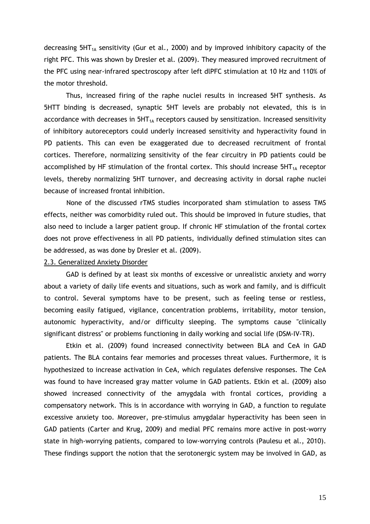decreasing  $5HT_{1A}$  sensitivity (Gur et al., 2000) and by improved inhibitory capacity of the right PFC. This was shown by Dresler et al. (2009). They measured improved recruitment of the PFC using near-infrared spectroscopy after left dlPFC stimulation at 10 Hz and 110% of the motor threshold.

Thus, increased firing of the raphe nuclei results in increased 5HT synthesis. As 5HTT binding is decreased, synaptic 5HT levels are probably not elevated, this is in accordance with decreases in  $5HT_{1A}$  receptors caused by sensitization. Increased sensitivity of inhibitory autoreceptors could underly increased sensitivity and hyperactivity found in PD patients. This can even be exaggerated due to decreased recruitment of frontal cortices. Therefore, normalizing sensitivity of the fear circuitry in PD patients could be accomplished by HF stimulation of the frontal cortex. This should increase  $5HT_{1A}$  receptor levels, thereby normalizing 5HT turnover, and decreasing activity in dorsal raphe nuclei because of increased frontal inhibition.

None of the discussed rTMS studies incorporated sham stimulation to assess TMS effects, neither was comorbidity ruled out. This should be improved in future studies, that also need to include a larger patient group. If chronic HF stimulation of the frontal cortex does not prove effectiveness in all PD patients, individually defined stimulation sites can be addressed, as was done by Dresler et al. (2009).

# 2.3. Generalized Anxiety Disorder

GAD is defined by at least six months of excessive or unrealistic anxiety and worry about a variety of daily life events and situations, such as work and family, and is difficult to control. Several symptoms have to be present, such as feeling tense or restless, becoming easily fatigued, vigilance, concentration problems, irritability, motor tension, autonomic hyperactivity, and/or difficulty sleeping. The symptoms cause "clinically significant distress" or problems functioning in daily working and social life (DSM-IV-TR).

Etkin et al. (2009) found increased connectivity between BLA and CeA in GAD patients. The BLA contains fear memories and processes threat values. Furthermore, it is hypothesized to increase activation in CeA, which regulates defensive responses. The CeA was found to have increased gray matter volume in GAD patients. Etkin et al. (2009) also showed increased connectivity of the amygdala with frontal cortices, providing a compensatory network. This is in accordance with worrying in GAD, a function to regulate excessive anxiety too. Moreover, pre-stimulus amygdalar hyperactivity has been seen in GAD patients (Carter and Krug, 2009) and medial PFC remains more active in post-worry state in high-worrying patients, compared to low-worrying controls (Paulesu et al., 2010). These findings support the notion that the serotonergic system may be involved in GAD, as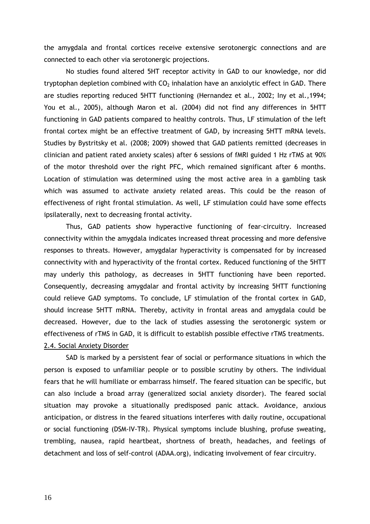the amygdala and frontal cortices receive extensive serotonergic connections and are connected to each other via serotonergic projections.

No studies found altered 5HT receptor activity in GAD to our knowledge, nor did tryptophan depletion combined with  $CO<sub>2</sub>$  inhalation have an anxiolytic effect in GAD. There are studies reporting reduced 5HTT functioning (Hernandez et al., 2002; Iny et al.,1994; You et al., 2005), although Maron et al. (2004) did not find any differences in 5HTT functioning in GAD patients compared to healthy controls. Thus, LF stimulation of the left frontal cortex might be an effective treatment of GAD, by increasing 5HTT mRNA levels. Studies by Bystritsky et al. (2008; 2009) showed that GAD patients remitted (decreases in clinician and patient rated anxiety scales) after 6 sessions of fMRI guided 1 Hz rTMS at 90% of the motor threshold over the right PFC, which remained significant after 6 months. Location of stimulation was determined using the most active area in a gambling task which was assumed to activate anxiety related areas. This could be the reason of effectiveness of right frontal stimulation. As well, LF stimulation could have some effects ipsilaterally, next to decreasing frontal activity.

Thus, GAD patients show hyperactive functioning of fear-circuitry. Increased connectivity within the amygdala indicates increased threat processing and more defensive responses to threats. However, amygdalar hyperactivity is compensated for by increased connectivity with and hyperactivity of the frontal cortex. Reduced functioning of the 5HTT may underly this pathology, as decreases in 5HTT functioning have been reported. Consequently, decreasing amygdalar and frontal activity by increasing 5HTT functioning could relieve GAD symptoms. To conclude, LF stimulation of the frontal cortex in GAD, should increase 5HTT mRNA. Thereby, activity in frontal areas and amygdala could be decreased. However, due to the lack of studies assessing the serotonergic system or effectiveness of rTMS in GAD, it is difficult to establish possible effective rTMS treatments. 2.4. Social Anxiety Disorder

SAD is marked by a persistent fear of social or performance situations in which the person is exposed to unfamiliar people or to possible scrutiny by others. The individual fears that he will humiliate or embarrass himself. The feared situation can be specific, but can also include a broad array (generalized social anxiety disorder). The feared social situation may provoke a situationally predisposed panic attack. Avoidance, anxious anticipation, or distress in the feared situations interferes with daily routine, occupational or social functioning (DSM-IV-TR). Physical symptoms include blushing, profuse sweating, trembling, nausea, rapid heartbeat, shortness of breath, headaches, and feelings of detachment and loss of self-control (ADAA.org), indicating involvement of fear circuitry.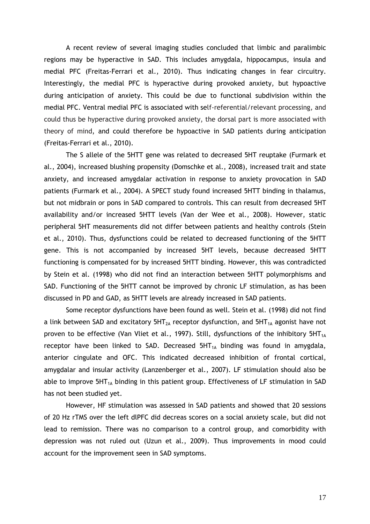A recent review of several imaging studies concluded that limbic and paralimbic regions may be hyperactive in SAD. This includes amygdala, hippocampus, insula and medial PFC (Freitas-Ferrari et al., 2010). Thus indicating changes in fear circuitry. Interestingly, the medial PFC is hyperactive during provoked anxiety, but hypoactive during anticipation of anxiety. This could be due to functional subdivision within the medial PFC. Ventral medial PFC is associated with self-referential/relevant processing, and could thus be hyperactive during provoked anxiety, the dorsal part is more associated with theory of mind, and could therefore be hypoactive in SAD patients during anticipation (Freitas-Ferrari et al., 2010).

The S allele of the 5HTT gene was related to decreased 5HT reuptake (Furmark et al., 2004), increased blushing propensity (Domschke et al., 2008), increased trait and state anxiety, and increased amygdalar activation in response to anxiety provocation in SAD patients (Furmark et al., 2004). A SPECT study found increased 5HTT binding in thalamus, but not midbrain or pons in SAD compared to controls. This can result from decreased 5HT availability and/or increased 5HTT levels (Van der Wee et al., 2008). However, static peripheral 5HT measurements did not differ between patients and healthy controls (Stein et al., 2010). Thus, dysfunctions could be related to decreased functioning of the 5HTT gene. This is not accompanied by increased 5HT levels, because decreased 5HTT functioning is compensated for by increased 5HTT binding. However, this was contradicted by Stein et al. (1998) who did not find an interaction between 5HTT polymorphisms and SAD. Functioning of the 5HTT cannot be improved by chronic LF stimulation, as has been discussed in PD and GAD, as 5HTT levels are already increased in SAD patients.

Some receptor dysfunctions have been found as well. Stein et al. (1998) did not find a link between SAD and excitatory  $5HT_{2A}$  receptor dysfunction, and  $5HT_{1A}$  agonist have not proven to be effective (Van Vliet et al., 1997). Still, dysfunctions of the inhibitory  $5HT_{1A}$ receptor have been linked to SAD. Decreased  $5HT_{14}$  binding was found in amygdala, anterior cingulate and OFC. This indicated decreased inhibition of frontal cortical, amygdalar and insular activity (Lanzenberger et al., 2007). LF stimulation should also be able to improve  $5HT_{1A}$  binding in this patient group. Effectiveness of LF stimulation in SAD has not been studied yet.

However, HF stimulation was assessed in SAD patients and showed that 20 sessions of 20 Hz rTMS over the left dlPFC did decreas scores on a social anxiety scale, but did not lead to remission. There was no comparison to a control group, and comorbidity with depression was not ruled out (Uzun et al., 2009). Thus improvements in mood could account for the improvement seen in SAD symptoms.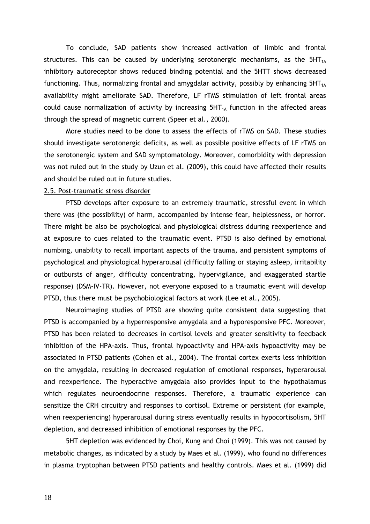To conclude, SAD patients show increased activation of limbic and frontal structures. This can be caused by underlying serotonergic mechanisms, as the  $5HT_{14}$ inhibitory autoreceptor shows reduced binding potential and the 5HTT shows decreased functioning. Thus, normalizing frontal and amygdalar activity, possibly by enhancing  $5HT_{1A}$ availability might ameliorate SAD. Therefore, LF rTMS stimulation of left frontal areas could cause normalization of activity by increasing  $5HT_{1A}$  function in the affected areas through the spread of magnetic current (Speer et al., 2000).

More studies need to be done to assess the effects of rTMS on SAD. These studies should investigate serotonergic deficits, as well as possible positive effects of LF rTMS on the serotonergic system and SAD symptomatology. Moreover, comorbidity with depression was not ruled out in the study by Uzun et al. (2009), this could have affected their results and should be ruled out in future studies.

### 2.5. Post-traumatic stress disorder

PTSD develops after exposure to an extremely traumatic, stressful event in which there was (the possibility) of harm, accompanied by intense fear, helplessness, or horror. There might be also be psychological and physiological distress dduring reexperience and at exposure to cues related to the traumatic event. PTSD is also defined by emotional numbing, unability to recall important aspects of the trauma, and persistent symptoms of psychological and physiological hyperarousal (difficulty falling or staying asleep, irritability or outbursts of anger, difficulty concentrating, hypervigilance, and exaggerated startle response) (DSM-IV-TR). However, not everyone exposed to a traumatic event will develop PTSD, thus there must be psychobiological factors at work (Lee et al., 2005).

Neuroimaging studies of PTSD are showing quite consistent data suggesting that PTSD is accompanied by a hyperresponsive amygdala and a hyporesponsive PFC. Moreover, PTSD has been related to decreases in cortisol levels and greater sensitivity to feedback inhibition of the HPA-axis. Thus, frontal hypoactivity and HPA-axis hypoactivity may be associated in PTSD patients (Cohen et al., 2004). The frontal cortex exerts less inhibition on the amygdala, resulting in decreased regulation of emotional responses, hyperarousal and reexperience. The hyperactive amygdala also provides input to the hypothalamus which regulates neuroendocrine responses. Therefore, a traumatic experience can sensitize the CRH circuitry and responses to cortisol. Extreme or persistent (for example, when reexperiencing) hyperarousal during stress eventually results in hypocortisolism, 5HT depletion, and decreased inhibition of emotional responses by the PFC.

5HT depletion was evidenced by Choi, Kung and Choi (1999). This was not caused by metabolic changes, as indicated by a study by Maes et al. (1999), who found no differences in plasma tryptophan between PTSD patients and healthy controls. Maes et al. (1999) did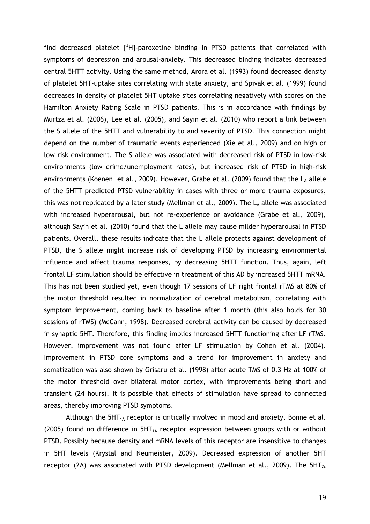find decreased platelet  $\int^3 H$ ]-paroxetine binding in PTSD patients that correlated with symptoms of depression and arousal-anxiety. This decreased binding indicates decreased central 5HTT activity. Using the same method, Arora et al. (1993) found decreased density of platelet 5HT-uptake sites correlating with state anxiety, and Spivak et al. (1999) found decreases in density of platelet 5HT uptake sites correlating negatively with scores on the Hamilton Anxiety Rating Scale in PTSD patients. This is in accordance with findings by Murtza et al. (2006), Lee et al. (2005), and Sayin et al. (2010) who report a link between the S allele of the 5HTT and vulnerability to and severity of PTSD. This connection might depend on the number of traumatic events experienced (Xie et al., 2009) and on high or low risk environment. The S allele was associated with decreased risk of PTSD in low-risk environments (low crime/unemployment rates), but increased risk of PTSD in high-risk environments (Koenen et al., 2009). However, Grabe et al. (2009) found that the  $L_A$  allele of the 5HTT predicted PTSD vulnerability in cases with three or more trauma exposures, this was not replicated by a later study (Mellman et al., 2009). The  $L<sub>A</sub>$  allele was associated with increased hyperarousal, but not re-experience or avoidance (Grabe et al., 2009), although Sayin et al. (2010) found that the L allele may cause milder hyperarousal in PTSD patients. Overall, these results indicate that the L allele protects against development of PTSD, the S allele might increase risk of developing PTSD by increasing environmental influence and affect trauma responses, by decreasing 5HTT function. Thus, again, left frontal LF stimulation should be effective in treatment of this AD by increased 5HTT mRNA. This has not been studied yet, even though 17 sessions of LF right frontal rTMS at 80% of the motor threshold resulted in normalization of cerebral metabolism, correlating with symptom improvement, coming back to baseline after 1 month (this also holds for 30 sessions of rTMS) (McCann, 1998). Decreased cerebral activity can be caused by decreased in synaptic 5HT. Therefore, this finding implies increased 5HTT functioning after LF rTMS. However, improvement was not found after LF stimulation by Cohen et al. (2004). Improvement in PTSD core symptoms and a trend for improvement in anxiety and somatization was also shown by Grisaru et al. (1998) after acute TMS of 0.3 Hz at 100% of the motor threshold over bilateral motor cortex, with improvements being short and transient (24 hours). It is possible that effects of stimulation have spread to connected areas, thereby improving PTSD symptoms.

Although the  $5HT_{1A}$  receptor is critically involved in mood and anxiety, Bonne et al. (2005) found no difference in  $5HT_{1A}$  receptor expression between groups with or without PTSD. Possibly because density and mRNA levels of this receptor are insensitive to changes in 5HT levels (Krystal and Neumeister, 2009). Decreased expression of another 5HT receptor (2A) was associated with PTSD development (Mellman et al., 2009). The  $5HT_{2c}$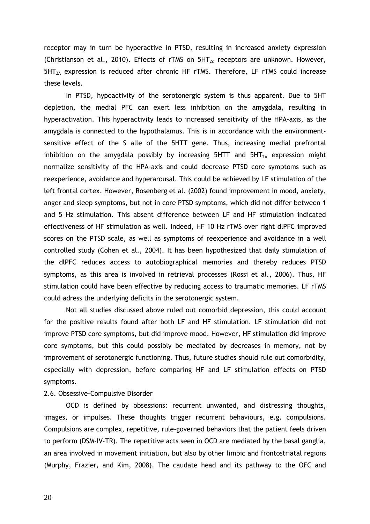receptor may in turn be hyperactive in PTSD, resulting in increased anxiety expression (Christianson et al., 2010). Effects of rTMS on  $5HT_{2c}$  receptors are unknown. However,  $5HT<sub>2A</sub>$  expression is reduced after chronic HF rTMS. Therefore, LF rTMS could increase these levels.

In PTSD, hypoactivity of the serotonergic system is thus apparent. Due to 5HT depletion, the medial PFC can exert less inhibition on the amygdala, resulting in hyperactivation. This hyperactivity leads to increased sensitivity of the HPA-axis, as the amygdala is connected to the hypothalamus. This is in accordance with the environmentsensitive effect of the S alle of the 5HTT gene. Thus, increasing medial prefrontal inhibition on the amygdala possibly by increasing 5HTT and  $5HT_{2A}$  expression might normalize sensitivity of the HPA-axis and could decrease PTSD core symptoms such as reexperience, avoidance and hyperarousal. This could be achieved by LF stimulation of the left frontal cortex. However, Rosenberg et al. (2002) found improvement in mood, anxiety, anger and sleep symptoms, but not in core PTSD symptoms, which did not differ between 1 and 5 Hz stimulation. This absent difference between LF and HF stimulation indicated effectiveness of HF stimulation as well. Indeed, HF 10 Hz rTMS over right dlPFC improved scores on the PTSD scale, as well as symptoms of reexperience and avoidance in a well controlled study (Cohen et al., 2004). It has been hypothesized that daily stimulation of the dlPFC reduces access to autobiographical memories and thereby reduces PTSD symptoms, as this area is involved in retrieval processes (Rossi et al., 2006). Thus, HF stimulation could have been effective by reducing access to traumatic memories. LF rTMS could adress the underlying deficits in the serotonergic system.

Not all studies discussed above ruled out comorbid depression, this could account for the positive results found after both LF and HF stimulation. LF stimulation did not improve PTSD core symptoms, but did improve mood. However, HF stimulation did improve core symptoms, but this could possibly be mediated by decreases in memory, not by improvement of serotonergic functioning. Thus, future studies should rule out comorbidity, especially with depression, before comparing HF and LF stimulation effects on PTSD symptoms.

## 2.6. Obsessive-Compulsive Disorder

OCD is defined by obsessions: recurrent unwanted, and distressing thoughts, images, or impulses. These thoughts trigger recurrent behaviours, e.g. compulsions. Compulsions are complex, repetitive, rule-governed behaviors that the patient feels driven to perform (DSM-IV-TR). The repetitive acts seen in OCD are mediated by the basal ganglia, an area involved in movement initiation, but also by other limbic and frontostriatal regions (Murphy, Frazier, and Kim, 2008). The caudate head and its pathway to the OFC and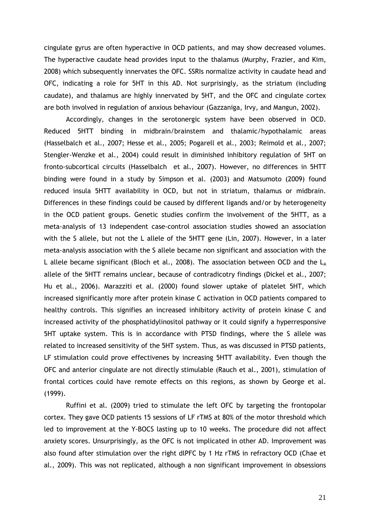cingulate gyrus are often hyperactive in OCD patients, and may show decreased volumes. The hyperactive caudate head provides input to the thalamus (Murphy, Frazier, and Kim, 2008) which subsequently innervates the OFC. SSRIs normalize activity in caudate head and OFC, indicating a role for 5HT in this AD. Not surprisingly, as the striatum (including caudate), and thalamus are highly innervated by 5HT, and the OFC and cingulate cortex are both involved in regulation of anxious behaviour (Gazzaniga, Irvy, and Mangun, 2002).

Accordingly, changes in the serotonergic system have been observed in OCD. Reduced 5HTT binding in midbrain/brainstem and thalamic/hypothalamic areas (Hasselbalch et al., 2007; Hesse et al., 2005; Pogarell et al., 2003; Reimold et al., 2007; Stengler-Wenzke et al., 2004) could result in diminished inhibitory regulation of 5HT on fronto-subcortical circuits (Hasselbalch et al., 2007). However, no differences in 5HTT binding were found in a study by Simpson et al. (2003) and Matsumoto (2009) found reduced insula 5HTT availability in OCD, but not in striatum, thalamus or midbrain. Differences in these findings could be caused by different ligands and/or by heterogeneity in the OCD patient groups. Genetic studies confirm the involvement of the 5HTT, as a meta-analysis of 13 independent case-control association studies showed an association with the S allele, but not the L allele of the 5HTT gene (Lin, 2007). However, in a later meta-analysis association with the S allele became non significant and association with the L allele became significant (Bloch et al., 2008). The association between OCD and the  $L_A$ allele of the 5HTT remains unclear, because of contradicotry findings (Dickel et al., 2007; Hu et al., 2006). Marazziti et al. (2000) found slower uptake of platelet 5HT, which increased significantly more after protein kinase C activation in OCD patients compared to healthy controls. This signifies an increased inhibitory activity of protein kinase C and increased activity of the phosphatidylinositol pathway or it could signify a hyperresponsive 5HT uptake system. This is in accordance with PTSD findings, where the S allele was related to increased sensitivity of the 5HT system. Thus, as was discussed in PTSD patients, LF stimulation could prove effectivenes by increasing 5HTT availability. Even though the OFC and anterior cingulate are not directly stimulable (Rauch et al., 2001), stimulation of frontal cortices could have remote effects on this regions, as shown by George et al. (1999).

Ruffini et al. (2009) tried to stimulate the left OFC by targeting the frontopolar cortex. They gave OCD patients 15 sessions of LF rTMS at 80% of the motor threshold which led to improvement at the Y-BOCS lasting up to 10 weeks. The procedure did not affect anxiety scores. Unsurprisingly, as the OFC is not implicated in other AD. Improvement was also found after stimulation over the right dlPFC by 1 Hz rTMS in refractory OCD (Chae et al., 2009). This was not replicated, although a non significant improvement in obsessions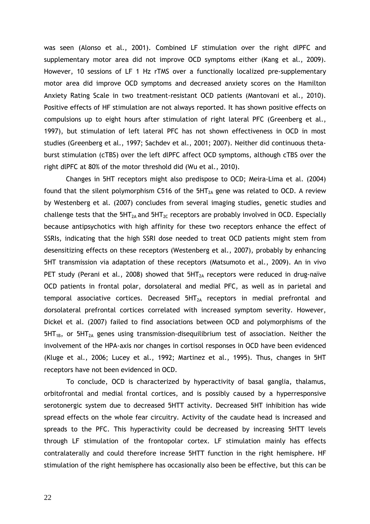was seen (Alonso et al., 2001). Combined LF stimulation over the right dlPFC and supplementary motor area did not improve OCD symptoms either (Kang et al., 2009). However, 10 sessions of LF 1 Hz rTMS over a functionally localized pre-supplementary motor area did improve OCD symptoms and decreased anxiety scores on the Hamilton Anxiety Rating Scale in two treatment-resistant OCD patients (Mantovani et al., 2010). Positive effects of HF stimulation are not always reported. It has shown positive effects on compulsions up to eight hours after stimulation of right lateral PFC (Greenberg et al., 1997), but stimulation of left lateral PFC has not shown effectiveness in OCD in most studies (Greenberg et al., 1997; Sachdev et al., 2001; 2007). Neither did continuous thetaburst stimulation (cTBS) over the left dlPFC affect OCD symptoms, although cTBS over the right dlPFC at 80% of the motor threshold did (Wu et al., 2010).

Changes in 5HT receptors might also predispose to OCD; Meira-Lima et al. (2004) found that the silent polymorphism C516 of the  $5HT<sub>2A</sub>$  gene was related to OCD. A review by Westenberg et al. (2007) concludes from several imaging studies, genetic studies and challenge tests that the  $5HT_{2A}$  and  $5HT_{2C}$  receptors are probably involved in OCD. Especially because antipsychotics with high affinity for these two receptors enhance the effect of SSRIs, indicating that the high SSRI dose needed to treat OCD patients might stem from desensitizing effects on these receptors (Westenberg et al., 2007), probably by enhancing 5HT transmission via adaptation of these receptors (Matsumoto et al., 2009). An in vivo PET study (Perani et al., 2008) showed that  $5HT<sub>2A</sub>$  receptors were reduced in drug-naïve OCD patients in frontal polar, dorsolateral and medial PFC, as well as in parietal and temporal associative cortices. Decreased  $5HT<sub>2A</sub>$  receptors in medial prefrontal and dorsolateral prefrontal cortices correlated with increased symptom severity. However, Dickel et al. (2007) failed to find associations between OCD and polymorphisms of the  $5HT_{1B}$ , or  $5HT_{2A}$  genes using transmission-disequilibrium test of association. Neither the involvement of the HPA-axis nor changes in cortisol responses in OCD have been evidenced (Kluge et al., 2006; Lucey et al., 1992; Martinez et al., 1995). Thus, changes in 5HT receptors have not been evidenced in OCD.

To conclude, OCD is characterized by hyperactivity of basal ganglia, thalamus, orbitofrontal and medial frontal cortices, and is possibly caused by a hyperresponsive serotonergic system due to decreased 5HTT activity. Decreased 5HT inhibition has wide spread effects on the whole fear circuitry. Activity of the caudate head is increased and spreads to the PFC. This hyperactivity could be decreased by increasing 5HTT levels through LF stimulation of the frontopolar cortex. LF stimulation mainly has effects contralaterally and could therefore increase 5HTT function in the right hemisphere. HF stimulation of the right hemisphere has occasionally also been be effective, but this can be

22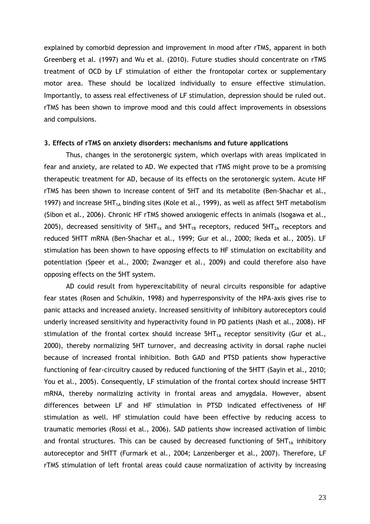explained by comorbid depression and improvement in mood after rTMS, apparent in both Greenberg et al. (1997) and Wu et al. (2010). Future studies should concentrate on rTMS treatment of OCD by LF stimulation of either the frontopolar cortex or supplementary motor area. These should be localized individually to ensure effective stimulation. Importantly, to assess real effectiveness of LF stimulation, depression should be ruled out. rTMS has been shown to improve mood and this could affect improvements in obsessions and compulsions.

#### 3. Effects of rTMS on anxiety disorders: mechanisms and future applications

Thus, changes in the serotonergic system, which overlaps with areas implicated in fear and anxiety, are related to AD. We expected that rTMS might prove to be a promising therapeutic treatment for AD, because of its effects on the serotonergic system. Acute HF rTMS has been shown to increase content of 5HT and its metabolite (Ben-Shachar et al., 1997) and increase  $5HT_{1A}$  binding sites (Kole et al., 1999), as well as affect 5HT metabolism (Sibon et al., 2006). Chronic HF rTMS showed anxiogenic effects in animals (Isogawa et al., 2005), decreased sensitivity of  $5HT_{1a}$  and  $5HT_{1B}$  receptors, reduced  $5HT_{2A}$  receptors and reduced 5HTT mRNA (Ben-Shachar et al., 1999; Gur et al., 2000; Ikeda et al., 2005). LF stimulation has been shown to have opposing effects to HF stimulation on excitability and potentiation (Speer et al., 2000; Zwanzger et al., 2009) and could therefore also have opposing effects on the 5HT system.

AD could result from hyperexcitability of neural circuits responsible for adaptive fear states (Rosen and Schulkin, 1998) and hyperresponsivity of the HPA-axis gives rise to panic attacks and increased anxiety. Increased sensitivity of inhibitory autoreceptors could underly increased sensitivity and hyperactivity found in PD patients (Nash et al., 2008). HF stimulation of the frontal cortex should increase  $5HT_{1A}$  receptor sensitivity (Gur et al., 2000), thereby normalizing 5HT turnover, and decreasing activity in dorsal raphe nuclei because of increased frontal inhibition. Both GAD and PTSD patients show hyperactive functioning of fear-circuitry caused by reduced functioning of the 5HTT (Sayin et al., 2010; You et al., 2005). Consequently, LF stimulation of the frontal cortex should increase 5HTT mRNA, thereby normalizing activity in frontal areas and amygdala. However, absent differences between LF and HF stimulation in PTSD indicated effectiveness of HF stimulation as well. HF stimulation could have been effective by reducing access to traumatic memories (Rossi et al., 2006). SAD patients show increased activation of limbic and frontal structures. This can be caused by decreased functioning of  $5HT_{1A}$  inhibitory autoreceptor and 5HTT (Furmark et al., 2004; Lanzenberger et al., 2007). Therefore, LF rTMS stimulation of left frontal areas could cause normalization of activity by increasing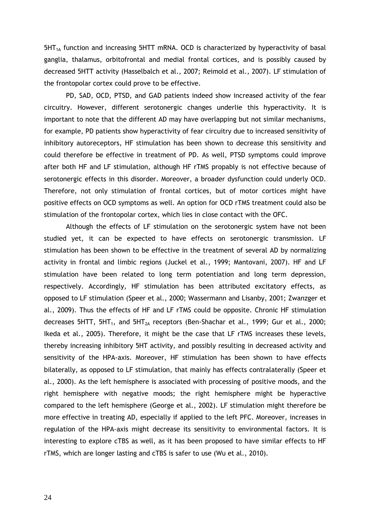$5HT_{1A}$  function and increasing  $5HTT$  mRNA. OCD is characterized by hyperactivity of basal ganglia, thalamus, orbitofrontal and medial frontal cortices, and is possibly caused by decreased 5HTT activity (Hasselbalch et al., 2007; Reimold et al., 2007). LF stimulation of the frontopolar cortex could prove to be effective.

PD, SAD, OCD, PTSD, and GAD patients indeed show increased activity of the fear circuitry. However, different serotonergic changes underlie this hyperactivity. It is important to note that the different AD may have overlapping but not similar mechanisms, for example, PD patients show hyperactivity of fear circuitry due to increased sensitivity of inhibitory autoreceptors, HF stimulation has been shown to decrease this sensitivity and could therefore be effective in treatment of PD. As well, PTSD symptoms could improve after both HF and LF stimulation, although HF rTMS propably is not effective because of serotonergic effects in this disorder. Moreover, a broader dysfunction could underly OCD. Therefore, not only stimulation of frontal cortices, but of motor cortices might have positive effects on OCD symptoms as well. An option for OCD rTMS treatment could also be stimulation of the frontopolar cortex, which lies in close contact with the OFC.

Although the effects of LF stimulation on the serotonergic system have not been studied yet, it can be expected to have effects on serotonergic transmission. LF stimulation has been shown to be effective in the treatment of several AD by normalizing activity in frontal and limbic regions (Juckel et al., 1999; Mantovani, 2007). HF and LF stimulation have been related to long term potentiation and long term depression, respectively. Accordingly, HF stimulation has been attributed excitatory effects, as opposed to LF stimulation (Speer et al., 2000; Wassermann and Lisanby, 2001; Zwanzger et al., 2009). Thus the effects of HF and LF rTMS could be opposite. Chronic HF stimulation decreases 5HTT, 5HT<sub>1</sub>, and 5HT<sub>2A</sub> receptors (Ben-Shachar et al., 1999; Gur et al., 2000; Ikeda et al., 2005). Therefore, it might be the case that LF rTMS increases these levels, thereby increasing inhibitory 5HT activity, and possibly resulting in decreased activity and sensitivity of the HPA-axis. Moreover, HF stimulation has been shown to have effects bilaterally, as opposed to LF stimulation, that mainly has effects contralaterally (Speer et al., 2000). As the left hemisphere is associated with processing of positive moods, and the right hemisphere with negative moods; the right hemisphere might be hyperactive compared to the left hemisphere (George et al., 2002). LF stimulation might therefore be more effective in treating AD, especially if applied to the left PFC. Moreover, increases in regulation of the HPA-axis might decrease its sensitivity to environmental factors. It is interesting to explore cTBS as well, as it has been proposed to have similar effects to HF rTMS, which are longer lasting and cTBS is safer to use (Wu et al., 2010).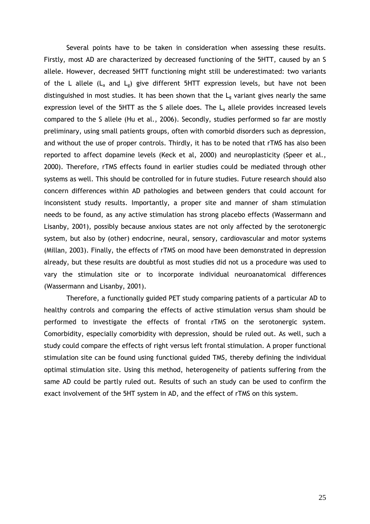Several points have to be taken in consideration when assessing these results. Firstly, most AD are characterized by decreased functioning of the 5HTT, caused by an S allele. However, decreased 5HTT functioning might still be underestimated: two variants of the L allele  $(L_a$  and  $L_g$ ) give different 5HTT expression levels, but have not been distinguished in most studies. It has been shown that the  $L_{g}$  variant gives nearly the same expression level of the 5HTT as the S allele does. The  $L<sub>a</sub>$  allele provides increased levels compared to the S allele (Hu et al., 2006). Secondly, studies performed so far are mostly preliminary, using small patients groups, often with comorbid disorders such as depression, and without the use of proper controls. Thirdly, it has to be noted that rTMS has also been reported to affect dopamine levels (Keck et al, 2000) and neuroplasticity (Speer et al., 2000). Therefore, rTMS effects found in earlier studies could be mediated through other systems as well. This should be controlled for in future studies. Future research should also concern differences within AD pathologies and between genders that could account for inconsistent study results. Importantly, a proper site and manner of sham stimulation needs to be found, as any active stimulation has strong placebo effects (Wassermann and Lisanby, 2001), possibly because anxious states are not only affected by the serotonergic system, but also by (other) endocrine, neural, sensory, cardiovascular and motor systems (Millan, 2003). Finally, the effects of rTMS on mood have been demonstrated in depression already, but these results are doubtful as most studies did not us a procedure was used to vary the stimulation site or to incorporate individual neuroanatomical differences (Wassermann and Lisanby, 2001).

Therefore, a functionally guided PET study comparing patients of a particular AD to healthy controls and comparing the effects of active stimulation versus sham should be performed to investigate the effects of frontal rTMS on the serotonergic system. Comorbidity, especially comorbidity with depression, should be ruled out. As well, such a study could compare the effects of right versus left frontal stimulation. A proper functional stimulation site can be found using functional guided TMS, thereby defining the individual optimal stimulation site. Using this method, heterogeneity of patients suffering from the same AD could be partly ruled out. Results of such an study can be used to confirm the exact involvement of the 5HT system in AD, and the effect of rTMS on this system.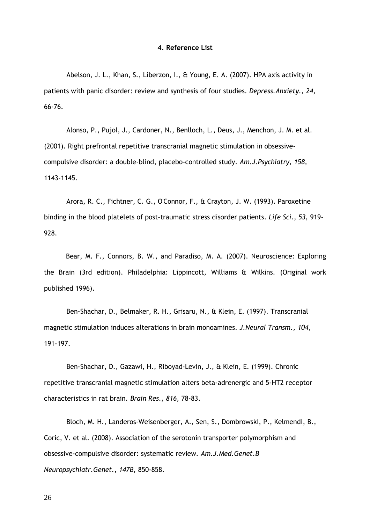#### 4. Reference List

Abelson, J. L., Khan, S., Liberzon, I., & Young, E. A. (2007). HPA axis activity in patients with panic disorder: review and synthesis of four studies. Depress.Anxiety., 24, 66-76.

Alonso, P., Pujol, J., Cardoner, N., Benlloch, L., Deus, J., Menchon, J. M. et al. (2001). Right prefrontal repetitive transcranial magnetic stimulation in obsessivecompulsive disorder: a double-blind, placebo-controlled study. Am.J.Psychiatry, 158, 1143-1145.

Arora, R. C., Fichtner, C. G., O'Connor, F., & Crayton, J. W. (1993). Paroxetine binding in the blood platelets of post-traumatic stress disorder patients. Life Sci., 53, 919- 928.

Bear, M. F., Connors, B. W., and Paradiso, M. A. (2007). Neuroscience: Exploring the Brain (3rd edition). Philadelphia: Lippincott, Williams & Wilkins. (Original work published 1996).

Ben-Shachar, D., Belmaker, R. H., Grisaru, N., & Klein, E. (1997). Transcranial magnetic stimulation induces alterations in brain monoamines. J.Neural Transm., 104, 191-197.

Ben-Shachar, D., Gazawi, H., Riboyad-Levin, J., & Klein, E. (1999). Chronic repetitive transcranial magnetic stimulation alters beta-adrenergic and 5-HT2 receptor characteristics in rat brain. Brain Res., 816, 78-83.

Bloch, M. H., Landeros-Weisenberger, A., Sen, S., Dombrowski, P., Kelmendi, B., Coric, V. et al. (2008). Association of the serotonin transporter polymorphism and obsessive-compulsive disorder: systematic review. Am.J.Med.Genet.B Neuropsychiatr.Genet., 147B, 850-858.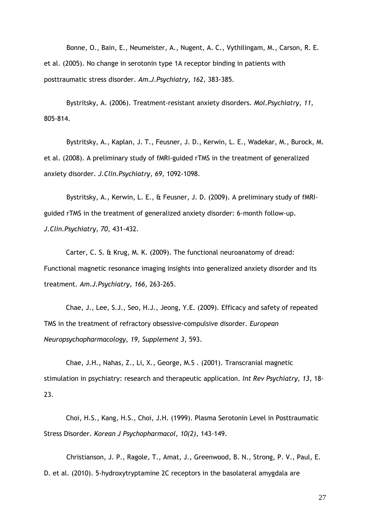Bonne, O., Bain, E., Neumeister, A., Nugent, A. C., Vythilingam, M., Carson, R. E. et al. (2005). No change in serotonin type 1A receptor binding in patients with posttraumatic stress disorder. Am.J.Psychiatry, 162, 383-385.

Bystritsky, A. (2006). Treatment-resistant anxiety disorders. Mol.Psychiatry, 11, 805-814.

Bystritsky, A., Kaplan, J. T., Feusner, J. D., Kerwin, L. E., Wadekar, M., Burock, M. et al. (2008). A preliminary study of fMRI-guided rTMS in the treatment of generalized anxiety disorder. J.Clin.Psychiatry, 69, 1092-1098.

Bystritsky, A., Kerwin, L. E., & Feusner, J. D. (2009). A preliminary study of fMRIguided rTMS in the treatment of generalized anxiety disorder: 6-month follow-up. J.Clin.Psychiatry, 70, 431-432.

Carter, C. S. & Krug, M. K. (2009). The functional neuroanatomy of dread: Functional magnetic resonance imaging insights into generalized anxiety disorder and its treatment. Am.J.Psychiatry, 166, 263-265.

Chae, J., Lee, S.J., Seo, H.J., Jeong, Y.E. (2009). Efficacy and safety of repeated TMS in the treatment of refractory obsessive-compulsive disorder. European Neuropsychopharmacology, 19, Supplement 3, 593.

Chae, J.H., Nahas, Z., Li, X., George, M.S . (2001). Transcranial magnetic stimulation in psychiatry: research and therapeutic application. Int Rev Psychiatry, 13, 18-23.

Choi, H.S., Kang, H.S., Choi, J.H. (1999). Plasma Serotonin Level in Posttraumatic Stress Disorder. Korean J Psychopharmacol, 10(2), 143-149.

Christianson, J. P., Ragole, T., Amat, J., Greenwood, B. N., Strong, P. V., Paul, E. D. et al. (2010). 5-hydroxytryptamine 2C receptors in the basolateral amygdala are

27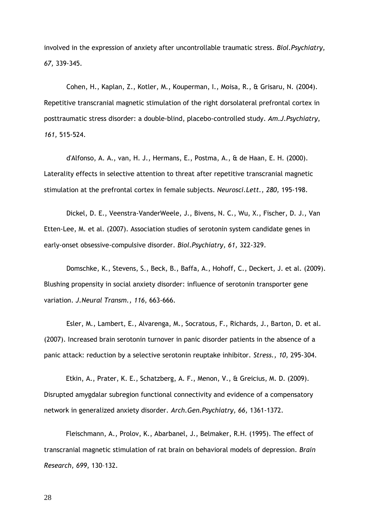involved in the expression of anxiety after uncontrollable traumatic stress. Biol. Psychiatry, 67, 339-345.

Cohen, H., Kaplan, Z., Kotler, M., Kouperman, I., Moisa, R., & Grisaru, N. (2004). Repetitive transcranial magnetic stimulation of the right dorsolateral prefrontal cortex in posttraumatic stress disorder: a double-blind, placebo-controlled study. Am.J.Psychiatry, 161, 515-524.

d'Alfonso, A. A., van, H. J., Hermans, E., Postma, A., & de Haan, E. H. (2000). Laterality effects in selective attention to threat after repetitive transcranial magnetic stimulation at the prefrontal cortex in female subjects. Neurosci.Lett., 280, 195-198.

Dickel, D. E., Veenstra-VanderWeele, J., Bivens, N. C., Wu, X., Fischer, D. J., Van Etten-Lee, M. et al. (2007). Association studies of serotonin system candidate genes in early-onset obsessive-compulsive disorder. Biol.Psychiatry, 61, 322-329.

Domschke, K., Stevens, S., Beck, B., Baffa, A., Hohoff, C., Deckert, J. et al. (2009). Blushing propensity in social anxiety disorder: influence of serotonin transporter gene variation. J.Neural Transm., 116, 663-666.

Esler, M., Lambert, E., Alvarenga, M., Socratous, F., Richards, J., Barton, D. et al. (2007). Increased brain serotonin turnover in panic disorder patients in the absence of a panic attack: reduction by a selective serotonin reuptake inhibitor. Stress., 10, 295-304.

Etkin, A., Prater, K. E., Schatzberg, A. F., Menon, V., & Greicius, M. D. (2009). Disrupted amygdalar subregion functional connectivity and evidence of a compensatory network in generalized anxiety disorder. Arch.Gen.Psychiatry, 66, 1361-1372.

Fleischmann, A., Prolov, K., Abarbanel, J., Belmaker, R.H. (1995). The effect of transcranial magnetic stimulation of rat brain on behavioral models of depression. Brain Research, 699, 130–132.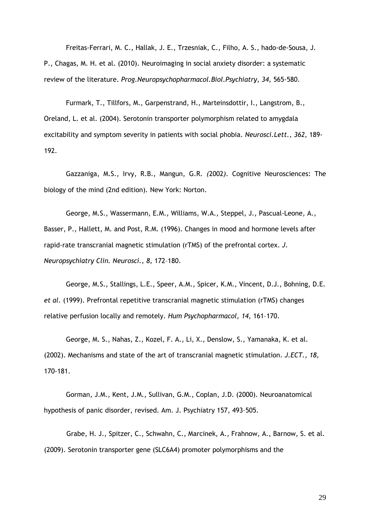Freitas-Ferrari, M. C., Hallak, J. E., Trzesniak, C., Filho, A. S., hado-de-Sousa, J. P., Chagas, M. H. et al. (2010). Neuroimaging in social anxiety disorder: a systematic review of the literature. Prog.Neuropsychopharmacol.Biol.Psychiatry, 34, 565-580.

Furmark, T., Tillfors, M., Garpenstrand, H., Marteinsdottir, I., Langstrom, B., Oreland, L. et al. (2004). Serotonin transporter polymorphism related to amygdala excitability and symptom severity in patients with social phobia. Neurosci.Lett., 362, 189- 192.

Gazzaniga, M.S., Irvy, R.B., Mangun, G.R. (2002). Cognitive Neurosciences: The biology of the mind (2nd edition). New York: Norton.

George, M.S., Wassermann, E.M., Williams, W.A., Steppel, J., Pascual-Leone, A., Basser, P., Hallett, M. and Post, R.M. (1996). Changes in mood and hormone levels after rapid-rate transcranial magnetic stimulation (rTMS) of the prefrontal cortex. J. Neuropsychiatry Clin. Neurosci., 8, 172–180.

George, M.S., Stallings, L.E., Speer, A.M., Spicer, K.M., Vincent, D.J., Bohning, D.E. et al. (1999). Prefrontal repetitive transcranial magnetic stimulation (rTMS) changes relative perfusion locally and remotely. Hum Psychopharmacol, 14, 161–170.

George, M. S., Nahas, Z., Kozel, F. A., Li, X., Denslow, S., Yamanaka, K. et al. (2002). Mechanisms and state of the art of transcranial magnetic stimulation. J.ECT., 18, 170-181.

Gorman, J.M., Kent, J.M., Sullivan, G.M., Coplan, J.D. (2000). Neuroanatomical hypothesis of panic disorder, revised. Am. J. Psychiatry 157, 493–505.

Grabe, H. J., Spitzer, C., Schwahn, C., Marcinek, A., Frahnow, A., Barnow, S. et al. (2009). Serotonin transporter gene (SLC6A4) promoter polymorphisms and the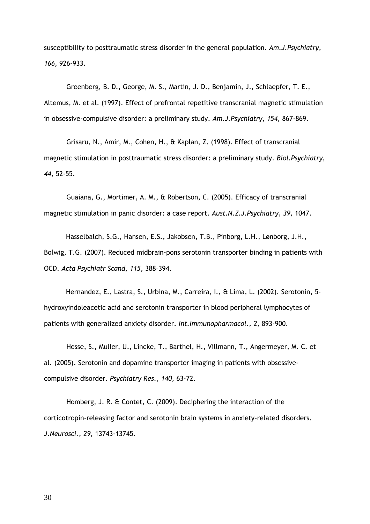susceptibility to posttraumatic stress disorder in the general population. Am.J.Psychiatry, 166, 926-933.

Greenberg, B. D., George, M. S., Martin, J. D., Benjamin, J., Schlaepfer, T. E., Altemus, M. et al. (1997). Effect of prefrontal repetitive transcranial magnetic stimulation in obsessive-compulsive disorder: a preliminary study. Am.J.Psychiatry, 154, 867-869.

Grisaru, N., Amir, M., Cohen, H., & Kaplan, Z. (1998). Effect of transcranial magnetic stimulation in posttraumatic stress disorder: a preliminary study. Biol.Psychiatry, 44, 52-55.

Guaiana, G., Mortimer, A. M., & Robertson, C. (2005). Efficacy of transcranial magnetic stimulation in panic disorder: a case report. Aust.N.Z.J.Psychiatry, 39, 1047.

Hasselbalch, S.G., Hansen, E.S., Jakobsen, T.B., Pinborg, L.H., Lønborg, J.H., Bolwig, T.G. (2007). Reduced midbrain-pons serotonin transporter binding in patients with OCD. Acta Psychiatr Scand, 115, 388–394.

Hernandez, E., Lastra, S., Urbina, M., Carreira, I., & Lima, L. (2002). Serotonin, 5 hydroxyindoleacetic acid and serotonin transporter in blood peripheral lymphocytes of patients with generalized anxiety disorder. Int.Immunopharmacol., 2, 893-900.

Hesse, S., Muller, U., Lincke, T., Barthel, H., Villmann, T., Angermeyer, M. C. et al. (2005). Serotonin and dopamine transporter imaging in patients with obsessivecompulsive disorder. Psychiatry Res., 140, 63-72.

Homberg, J. R. & Contet, C. (2009). Deciphering the interaction of the corticotropin-releasing factor and serotonin brain systems in anxiety-related disorders. J.Neurosci., 29, 13743-13745.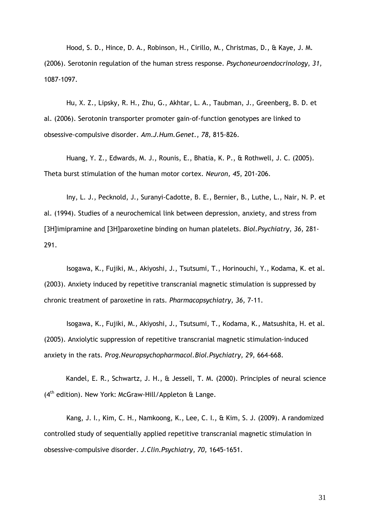Hood, S. D., Hince, D. A., Robinson, H., Cirillo, M., Christmas, D., & Kaye, J. M. (2006). Serotonin regulation of the human stress response. Psychoneuroendocrinology, 31, 1087-1097.

Hu, X. Z., Lipsky, R. H., Zhu, G., Akhtar, L. A., Taubman, J., Greenberg, B. D. et al. (2006). Serotonin transporter promoter gain-of-function genotypes are linked to obsessive-compulsive disorder. Am.J.Hum.Genet., 78, 815-826.

Huang, Y. Z., Edwards, M. J., Rounis, E., Bhatia, K. P., & Rothwell, J. C. (2005). Theta burst stimulation of the human motor cortex. Neuron, 45, 201-206.

Iny, L. J., Pecknold, J., Suranyi-Cadotte, B. E., Bernier, B., Luthe, L., Nair, N. P. et al. (1994). Studies of a neurochemical link between depression, anxiety, and stress from [3H]imipramine and [3H]paroxetine binding on human platelets. Biol. Psychiatry, 36, 281-291.

Isogawa, K., Fujiki, M., Akiyoshi, J., Tsutsumi, T., Horinouchi, Y., Kodama, K. et al. (2003). Anxiety induced by repetitive transcranial magnetic stimulation is suppressed by chronic treatment of paroxetine in rats. Pharmacopsychiatry, 36, 7-11.

Isogawa, K., Fujiki, M., Akiyoshi, J., Tsutsumi, T., Kodama, K., Matsushita, H. et al. (2005). Anxiolytic suppression of repetitive transcranial magnetic stimulation-induced anxiety in the rats. Prog.Neuropsychopharmacol.Biol.Psychiatry, 29, 664-668.

Kandel, E. R., Schwartz, J. H., & Jessell, T. M. (2000). Principles of neural science (4<sup>th</sup> edition). New York: McGraw-Hill/Appleton & Lange.

Kang, J. I., Kim, C. H., Namkoong, K., Lee, C. I., & Kim, S. J. (2009). A randomized controlled study of sequentially applied repetitive transcranial magnetic stimulation in obsessive-compulsive disorder. J.Clin.Psychiatry, 70, 1645-1651.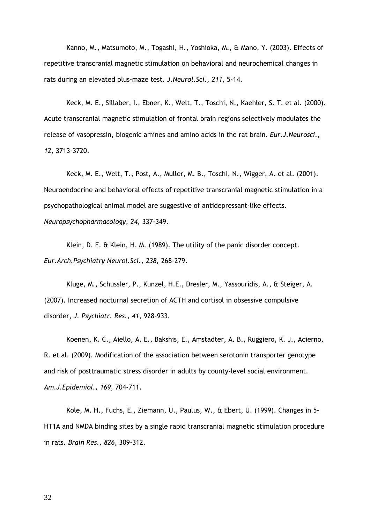Kanno, M., Matsumoto, M., Togashi, H., Yoshioka, M., & Mano, Y. (2003). Effects of repetitive transcranial magnetic stimulation on behavioral and neurochemical changes in rats during an elevated plus-maze test. J.Neurol.Sci., 211, 5-14.

Keck, M. E., Sillaber, I., Ebner, K., Welt, T., Toschi, N., Kaehler, S. T. et al. (2000). Acute transcranial magnetic stimulation of frontal brain regions selectively modulates the release of vasopressin, biogenic amines and amino acids in the rat brain. Eur.J.Neurosci., 12, 3713-3720.

Keck, M. E., Welt, T., Post, A., Muller, M. B., Toschi, N., Wigger, A. et al. (2001). Neuroendocrine and behavioral effects of repetitive transcranial magnetic stimulation in a psychopathological animal model are suggestive of antidepressant-like effects. Neuropsychopharmacology, 24, 337-349.

Klein, D. F. & Klein, H. M. (1989). The utility of the panic disorder concept. Eur.Arch.Psychiatry Neurol.Sci., 238, 268-279.

Kluge, M., Schussler, P., Kunzel, H.E., Dresler, M., Yassouridis, A., & Steiger, A. (2007). Increased nocturnal secretion of ACTH and cortisol in obsessive compulsive disorder, J. Psychiatr. Res., 41, 928–933.

Koenen, K. C., Aiello, A. E., Bakshis, E., Amstadter, A. B., Ruggiero, K. J., Acierno, R. et al. (2009). Modification of the association between serotonin transporter genotype and risk of posttraumatic stress disorder in adults by county-level social environment. Am.J.Epidemiol., 169, 704-711.

Kole, M. H., Fuchs, E., Ziemann, U., Paulus, W., & Ebert, U. (1999). Changes in 5- HT1A and NMDA binding sites by a single rapid transcranial magnetic stimulation procedure in rats. Brain Res., 826, 309-312.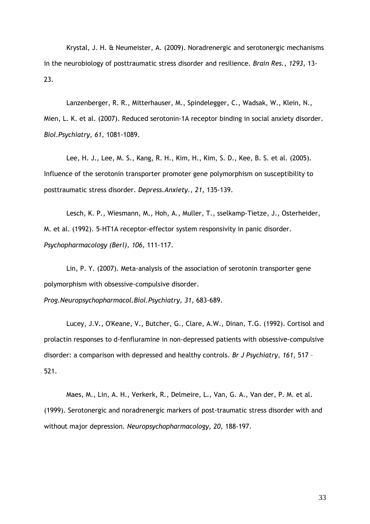Krystal, J. H. & Neumeister, A. (2009). Noradrenergic and serotonergic mechanisms in the neurobiology of posttraumatic stress disorder and resilience. Brain Res., 1293, 13- 23.

Lanzenberger, R. R., Mitterhauser, M., Spindelegger, C., Wadsak, W., Klein, N., Mien, L. K. et al. (2007). Reduced serotonin-1A receptor binding in social anxiety disorder. Biol.Psychiatry, 61, 1081-1089.

Lee, H. J., Lee, M. S., Kang, R. H., Kim, H., Kim, S. D., Kee, B. S. et al. (2005). Influence of the serotonin transporter promoter gene polymorphism on susceptibility to posttraumatic stress disorder. Depress.Anxiety., 21, 135-139.

Lesch, K. P., Wiesmann, M., Hoh, A., Muller, T., sselkamp-Tietze, J., Osterheider, M. et al. (1992). 5-HT1A receptor-effector system responsivity in panic disorder. Psychopharmacology (Berl), 106, 111-117.

Lin, P. Y. (2007). Meta-analysis of the association of serotonin transporter gene polymorphism with obsessive-compulsive disorder.

Prog.Neuropsychopharmacol.Biol.Psychiatry, 31, 683-689.

Lucey, J.V., O'Keane, V., Butcher, G., Clare, A.W., Dinan, T.G. (1992). Cortisol and prolactin responses to d-fenfluramine in non-depressed patients with obsessive-compulsive disorder: a comparison with depressed and healthy controls. Br J Psychiatry, 161, 517 -521.

Maes, M., Lin, A. H., Verkerk, R., Delmeire, L., Van, G. A., Van der, P. M. et al. (1999). Serotonergic and noradrenergic markers of post-traumatic stress disorder with and without major depression. Neuropsychopharmacology, 20, 188-197.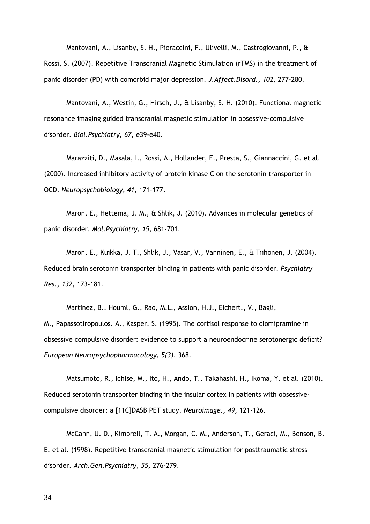Mantovani, A., Lisanby, S. H., Pieraccini, F., Ulivelli, M., Castrogiovanni, P., & Rossi, S. (2007). Repetitive Transcranial Magnetic Stimulation (rTMS) in the treatment of panic disorder (PD) with comorbid major depression. J.Affect.Disord., 102, 277-280.

Mantovani, A., Westin, G., Hirsch, J., & Lisanby, S. H. (2010). Functional magnetic resonance imaging guided transcranial magnetic stimulation in obsessive-compulsive disorder. Biol.Psychiatry, 67, e39-e40.

Marazziti, D., Masala, I., Rossi, A., Hollander, E., Presta, S., Giannaccini, G. et al. (2000). Increased inhibitory activity of protein kinase C on the serotonin transporter in OCD. Neuropsychobiology, 41, 171-177.

Maron, E., Hettema, J. M., & Shlik, J. (2010). Advances in molecular genetics of panic disorder. Mol.Psychiatry, 15, 681-701.

Maron, E., Kuikka, J. T., Shlik, J., Vasar, V., Vanninen, E., & Tiihonen, J. (2004). Reduced brain serotonin transporter binding in patients with panic disorder. Psychiatry Res., 132, 173-181.

Martinez, B., Houml, G., Rao, M.L., Assion, H.J., Eichert., V., Bagli, M., Papassotiropoulos. A., Kasper, S. (1995). The cortisol response to clomipramine in obsessive compulsive disorder: evidence to support a neuroendocrine serotonergic deficit? European Neuropsychopharmacology, 5(3), 368.

Matsumoto, R., Ichise, M., Ito, H., Ando, T., Takahashi, H., Ikoma, Y. et al. (2010). Reduced serotonin transporter binding in the insular cortex in patients with obsessivecompulsive disorder: a [11C]DASB PET study. Neuroimage., 49, 121-126.

McCann, U. D., Kimbrell, T. A., Morgan, C. M., Anderson, T., Geraci, M., Benson, B. E. et al. (1998). Repetitive transcranial magnetic stimulation for posttraumatic stress disorder. Arch.Gen.Psychiatry, 55, 276-279.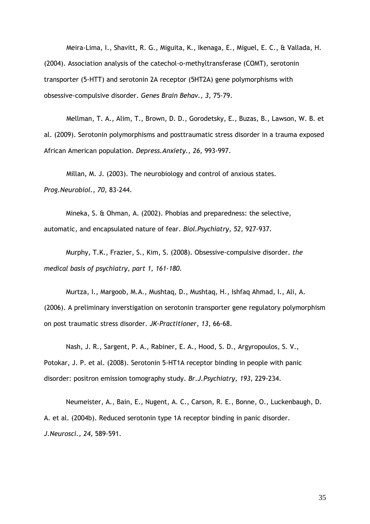Meira-Lima, I., Shavitt, R. G., Miguita, K., Ikenaga, E., Miguel, E. C., & Vallada, H. (2004). Association analysis of the catechol-o-methyltransferase (COMT), serotonin transporter (5-HTT) and serotonin 2A receptor (5HT2A) gene polymorphisms with obsessive-compulsive disorder. Genes Brain Behav., 3, 75-79.

Mellman, T. A., Alim, T., Brown, D. D., Gorodetsky, E., Buzas, B., Lawson, W. B. et al. (2009). Serotonin polymorphisms and posttraumatic stress disorder in a trauma exposed African American population. Depress.Anxiety., 26, 993-997.

Millan, M. J. (2003). The neurobiology and control of anxious states. Prog.Neurobiol., 70, 83-244.

Mineka, S. & Ohman, A. (2002). Phobias and preparedness: the selective, automatic, and encapsulated nature of fear. Biol.Psychiatry, 52, 927-937.

Murphy, T.K., Frazier, S., Kim, S. (2008). Obsessive-compulsive disorder. the medical basis of psychiatry, part 1, 161-180.

Murtza, I., Margoob, M.A., Mushtaq, D., Mushtaq, H., Ishfaq Ahmad, I., Ali, A. (2006). A preliminary inverstigation on serotonin transporter gene regulatory polymorphism on post traumatic stress disorder. JK-Practitioner, 13, 66-68.

Nash, J. R., Sargent, P. A., Rabiner, E. A., Hood, S. D., Argyropoulos, S. V., Potokar, J. P. et al. (2008). Serotonin 5-HT1A receptor binding in people with panic disorder: positron emission tomography study. Br.J.Psychiatry, 193, 229-234.

Neumeister, A., Bain, E., Nugent, A. C., Carson, R. E., Bonne, O., Luckenbaugh, D. A. et al. (2004b). Reduced serotonin type 1A receptor binding in panic disorder. J.Neurosci., 24, 589-591.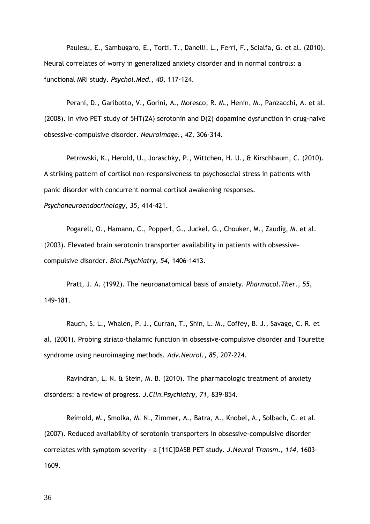Paulesu, E., Sambugaro, E., Torti, T., Danelli, L., Ferri, F., Scialfa, G. et al. (2010). Neural correlates of worry in generalized anxiety disorder and in normal controls: a functional MRI study. Psychol.Med., 40, 117-124.

Perani, D., Garibotto, V., Gorini, A., Moresco, R. M., Henin, M., Panzacchi, A. et al. (2008). In vivo PET study of 5HT(2A) serotonin and D(2) dopamine dysfunction in drug-naive obsessive-compulsive disorder. Neuroimage., 42, 306-314.

Petrowski, K., Herold, U., Joraschky, P., Wittchen, H. U., & Kirschbaum, C. (2010). A striking pattern of cortisol non-responsiveness to psychosocial stress in patients with panic disorder with concurrent normal cortisol awakening responses.

Psychoneuroendocrinology, 35, 414-421.

Pogarell, O., Hamann, C., Popperl, G., Juckel, G., Chouker, M., Zaudig, M. et al. (2003). Elevated brain serotonin transporter availability in patients with obsessivecompulsive disorder. Biol.Psychiatry, 54, 1406-1413.

Pratt, J. A. (1992). The neuroanatomical basis of anxiety. Pharmacol.Ther., 55, 149-181.

Rauch, S. L., Whalen, P. J., Curran, T., Shin, L. M., Coffey, B. J., Savage, C. R. et al. (2001). Probing striato-thalamic function in obsessive-compulsive disorder and Tourette syndrome using neuroimaging methods. Adv.Neurol., 85, 207-224.

Ravindran, L. N. & Stein, M. B. (2010). The pharmacologic treatment of anxiety disorders: a review of progress. J.Clin.Psychiatry, 71, 839-854.

Reimold, M., Smolka, M. N., Zimmer, A., Batra, A., Knobel, A., Solbach, C. et al. (2007). Reduced availability of serotonin transporters in obsessive-compulsive disorder correlates with symptom severity - a [11C]DASB PET study. J.Neural Transm., 114, 1603- 1609.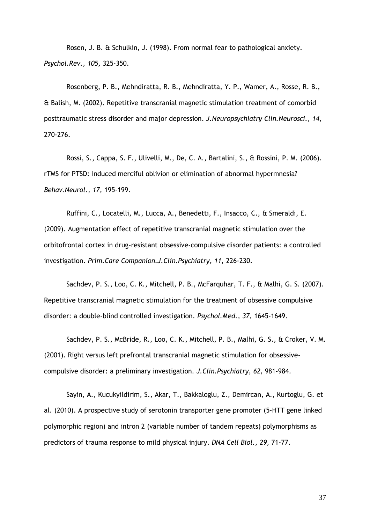Rosen, J. B. & Schulkin, J. (1998). From normal fear to pathological anxiety. Psychol.Rev., 105, 325-350.

Rosenberg, P. B., Mehndiratta, R. B., Mehndiratta, Y. P., Wamer, A., Rosse, R. B., & Balish, M. (2002). Repetitive transcranial magnetic stimulation treatment of comorbid posttraumatic stress disorder and major depression. J.Neuropsychiatry Clin.Neurosci., 14, 270-276.

Rossi, S., Cappa, S. F., Ulivelli, M., De, C. A., Bartalini, S., & Rossini, P. M. (2006). rTMS for PTSD: induced merciful oblivion or elimination of abnormal hypermnesia? Behav.Neurol., 17, 195-199.

Ruffini, C., Locatelli, M., Lucca, A., Benedetti, F., Insacco, C., & Smeraldi, E. (2009). Augmentation effect of repetitive transcranial magnetic stimulation over the orbitofrontal cortex in drug-resistant obsessive-compulsive disorder patients: a controlled investigation. Prim.Care Companion.J.Clin.Psychiatry, 11, 226-230.

Sachdev, P. S., Loo, C. K., Mitchell, P. B., McFarquhar, T. F., & Malhi, G. S. (2007). Repetitive transcranial magnetic stimulation for the treatment of obsessive compulsive disorder: a double-blind controlled investigation. Psychol.Med., 37, 1645-1649.

Sachdev, P. S., McBride, R., Loo, C. K., Mitchell, P. B., Malhi, G. S., & Croker, V. M. (2001). Right versus left prefrontal transcranial magnetic stimulation for obsessivecompulsive disorder: a preliminary investigation. J.Clin.Psychiatry, 62, 981-984.

Sayin, A., Kucukyildirim, S., Akar, T., Bakkaloglu, Z., Demircan, A., Kurtoglu, G. et al. (2010). A prospective study of serotonin transporter gene promoter (5-HTT gene linked polymorphic region) and intron 2 (variable number of tandem repeats) polymorphisms as predictors of trauma response to mild physical injury. DNA Cell Biol., 29, 71-77.

37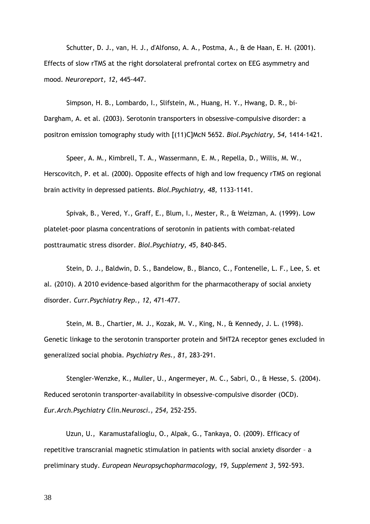Schutter, D. J., van, H. J., d'Alfonso, A. A., Postma, A., & de Haan, E. H. (2001). Effects of slow rTMS at the right dorsolateral prefrontal cortex on EEG asymmetry and mood. Neuroreport, 12, 445-447.

Simpson, H. B., Lombardo, I., Slifstein, M., Huang, H. Y., Hwang, D. R., bi-Dargham, A. et al. (2003). Serotonin transporters in obsessive-compulsive disorder: a positron emission tomography study with [(11)C]McN 5652. Biol. Psychiatry, 54, 1414-1421.

Speer, A. M., Kimbrell, T. A., Wassermann, E. M., Repella, D., Willis, M. W., Herscovitch, P. et al. (2000). Opposite effects of high and low frequency rTMS on regional brain activity in depressed patients. Biol.Psychiatry, 48, 1133-1141.

Spivak, B., Vered, Y., Graff, E., Blum, I., Mester, R., & Weizman, A. (1999). Low platelet-poor plasma concentrations of serotonin in patients with combat-related posttraumatic stress disorder. Biol.Psychiatry, 45, 840-845.

Stein, D. J., Baldwin, D. S., Bandelow, B., Blanco, C., Fontenelle, L. F., Lee, S. et al. (2010). A 2010 evidence-based algorithm for the pharmacotherapy of social anxiety disorder. Curr.Psychiatry Rep., 12, 471-477.

Stein, M. B., Chartier, M. J., Kozak, M. V., King, N., & Kennedy, J. L. (1998). Genetic linkage to the serotonin transporter protein and 5HT2A receptor genes excluded in generalized social phobia. Psychiatry Res., 81, 283-291.

Stengler-Wenzke, K., Muller, U., Angermeyer, M. C., Sabri, O., & Hesse, S. (2004). Reduced serotonin transporter-availability in obsessive-compulsive disorder (OCD). Eur.Arch.Psychiatry Clin.Neurosci., 254, 252-255.

Uzun, U., Karamustafalioglu, O., Alpak, G., Tankaya, O. (2009). Efficacy of repetitive transcranial magnetic stimulation in patients with social anxiety disorder – a preliminary study. European Neuropsychopharmacology, 19, Supplement 3, 592-593.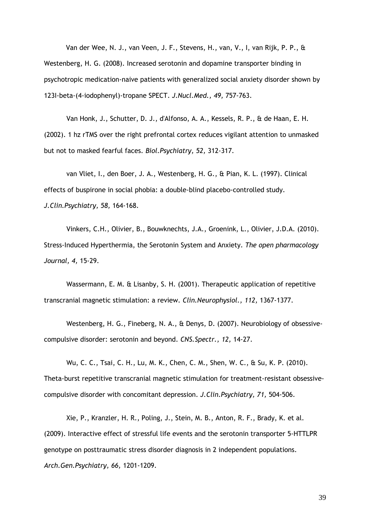Van der Wee, N. J., van Veen, J. F., Stevens, H., van, V., I, van Rijk, P. P., & Westenberg, H. G. (2008). Increased serotonin and dopamine transporter binding in psychotropic medication-naive patients with generalized social anxiety disorder shown by 123I-beta-(4-iodophenyl)-tropane SPECT. J.Nucl.Med., 49, 757-763.

Van Honk, J., Schutter, D. J., d'Alfonso, A. A., Kessels, R. P., & de Haan, E. H. (2002). 1 hz rTMS over the right prefrontal cortex reduces vigilant attention to unmasked but not to masked fearful faces. Biol.Psychiatry, 52, 312-317.

van Vliet, I., den Boer, J. A., Westenberg, H. G., & Pian, K. L. (1997). Clinical effects of buspirone in social phobia: a double-blind placebo-controlled study. J.Clin.Psychiatry, 58, 164-168.

Vinkers, C.H., Olivier, B., Bouwknechts, J.A., Groenink, L., Olivier, J.D.A. (2010). Stress-Induced Hyperthermia, the Serotonin System and Anxiety. The open pharmacology Journal, 4, 15-29.

Wassermann, E. M. & Lisanby, S. H. (2001). Therapeutic application of repetitive transcranial magnetic stimulation: a review. Clin.Neurophysiol., 112, 1367-1377.

Westenberg, H. G., Fineberg, N. A., & Denys, D. (2007). Neurobiology of obsessivecompulsive disorder: serotonin and beyond. CNS.Spectr., 12, 14-27.

Wu, C. C., Tsai, C. H., Lu, M. K., Chen, C. M., Shen, W. C., & Su, K. P. (2010). Theta-burst repetitive transcranial magnetic stimulation for treatment-resistant obsessivecompulsive disorder with concomitant depression. J.Clin.Psychiatry, 71, 504-506.

Xie, P., Kranzler, H. R., Poling, J., Stein, M. B., Anton, R. F., Brady, K. et al. (2009). Interactive effect of stressful life events and the serotonin transporter 5-HTTLPR genotype on posttraumatic stress disorder diagnosis in 2 independent populations. Arch.Gen.Psychiatry, 66, 1201-1209.